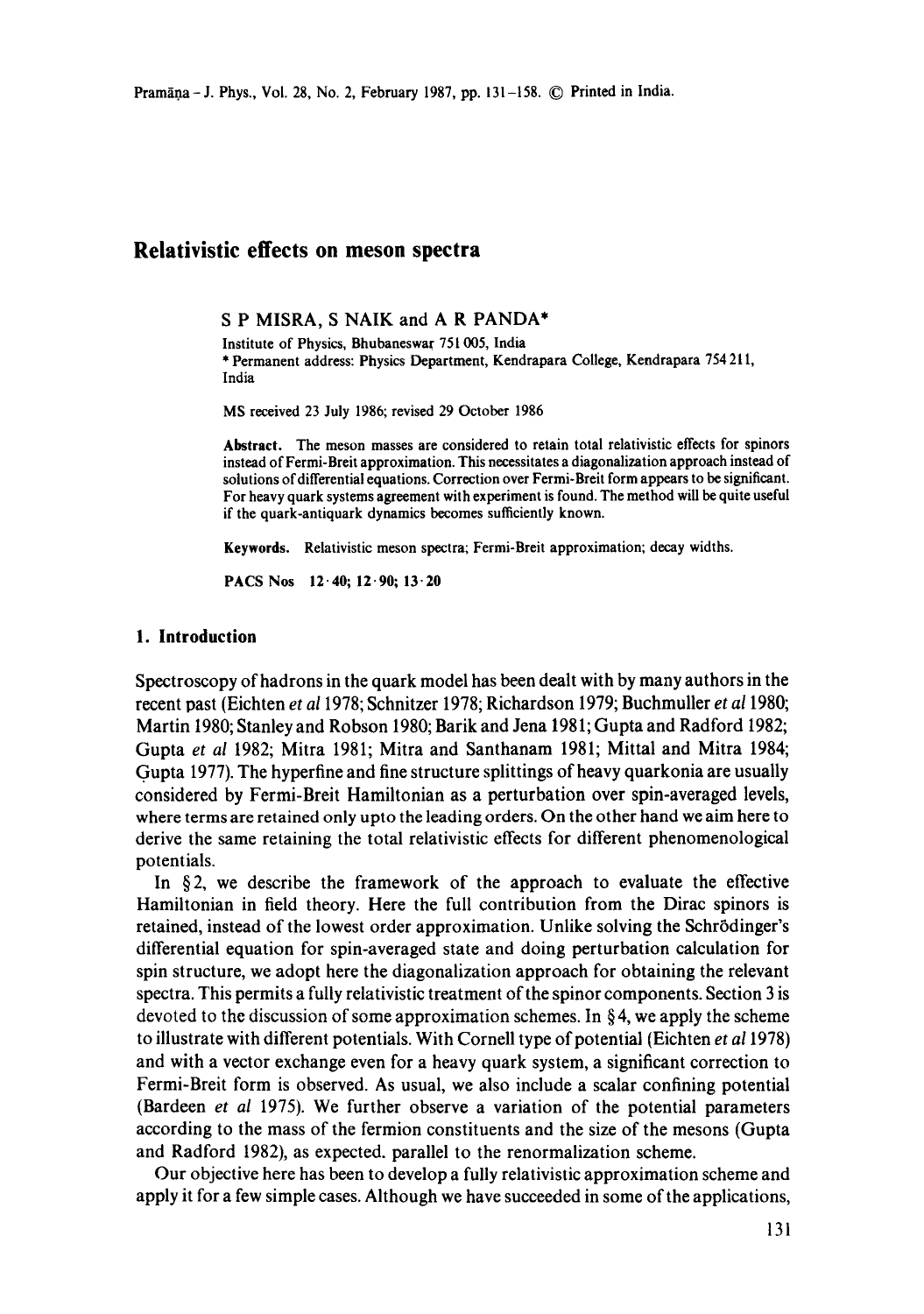# **Relativistic effects on meson spectra**

S P MISRA, S NAIK and A R PANDA\*

Institute of Physics, Bhubaneswar 751005, India \* Permanent address: Physics Department, Kendrapara College, Kendrapara 754 211, India

MS received 23 July 1986; revised 29 October 1986

**Abstract.** The meson masses are considered to retain total relativistic effects for spinors instead of Fermi-Breit approximation. This necessitates a diagonalization approach instead of solutions of differential equations. Correction over Fermi-Breit form appears to be significant. For heavy quark systems agreement with experiment is found. The method will be quite useful if the quark-antiquark dynamics becomes sufficiently known.

**Keywords.** Relativistic meson spectra; Fermi-Breit approximation; decay widths.

**PACS Nos 12.40; 12.90; 13.20** 

### **1. Introduction**

Spectroscopy of hadrons in the quark model has been dealt with by many authors in the recent past (Eichten *et a11978;* Schnitzer 1978; Richardson 1979; Buchmuller *et al* 1980; Martin 1980; Stanley and Robson 1980; Barik and Jena 1981; Gupta and Radford 1982; Gupta *et al* 1982; Mitra 1981; Mitra and Santhanam 1981; Mittal and Mitra 1984; Gupta 1977). The hyperfine and fine structure splittings of heavy quarkonia are usually considered by Fermi-Breit Hamiltonian as a perturbation over spin-averaged levels, where terms are retained only upto the leading orders. On the other hand we aim here to derive the same retaining the total relativistic effects for different phenomenological potentials.

In  $\S 2$ , we describe the framework of the approach to evaluate the effective Hamiltonian in field theory. Here the full contribution from the Dirac spinors is retained, instead of the lowest order approximation. Unlike solving the Schr6dinger's differential equation for spin-averaged state and doing perturbation calculation for spin structure, we adopt here the diagonalization approach for obtaining the relevant spectra. This permits a fully relativistic treatment of the spinor components. Section 3 is devoted to the discussion of some approximation schemes. In  $\S 4$ , we apply the scheme to illustrate with different potentials. With Cornell type of potential (Eichten *et a11978)*  and with a vector exchange even for a heavy quark system, a significant correction to Fermi-Breit form is observed. As usual, we also include a scalar confining potential (Bardeen *et al* 1975). We further observe a variation of the potential parameters according to the mass of the fermion constituents and the size of the mesons (Gupta and Radford 1982), as expected, parallel to the renormalization scheme.

Our objective here has been to develop a fully relativistic approximation scheme and apply it for a few simple cases. Although we have succeeded in some of the applications,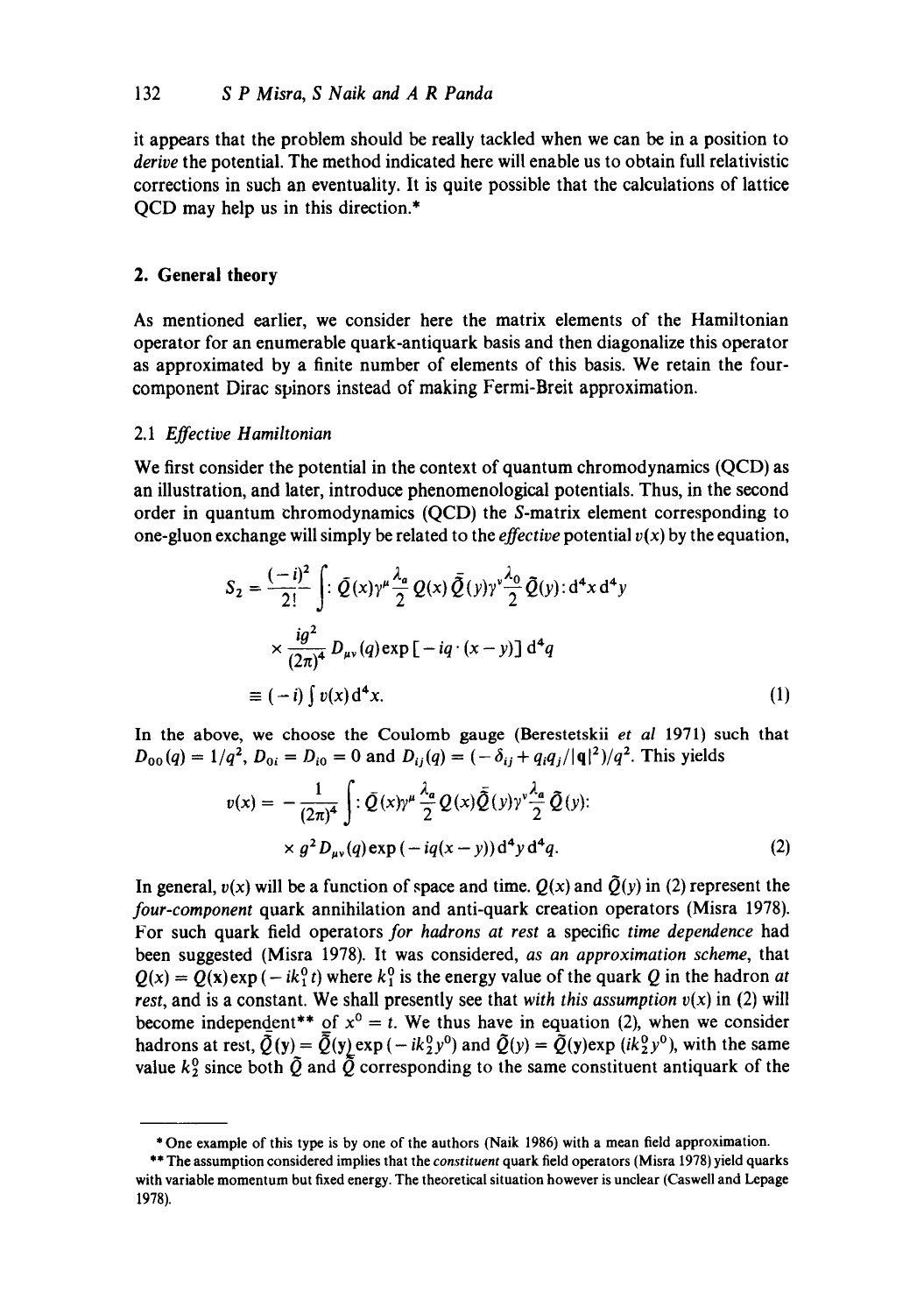it appears that the problem should be really tackled when we can be in a position to *derive* the potential. The method indicated here will enable us to obtain full relativistic corrections in such an eventuality. It is quite possible that the calculations of lattice QCD may help us in this direction.\*

## **2. General theory**

As mentioned earlier, we consider here the matrix elements of the Hamiltonian operator for an enumerable quark-antiquark basis and then diagonalize this operator as approximated by a finite number of elements of this basis. We retain the fourcomponent Dirac spinors instead of making Fermi-Breit approximation.

## 2.1 *Effective Hamiltonian*

We first consider the potential in the context of quantum chromodynamics (QCD) as an illustration, and later, introduce phenomenological potentials. Thus, in the second order in quantum chromodynamics (QCD) the S-matrix element corresponding to one-gluon exchange will simply be related to the *effective* potential  $v(x)$  by the equation,

$$
S_2 = \frac{(-i)^2}{2!} \int \left[ \sum \overline{Q}(x) \gamma^{\mu} \frac{\lambda_a}{2} Q(x) \overline{\tilde{Q}}(y) \gamma^{\nu} \frac{\lambda_0}{2} \tilde{Q}(y) \right] d^4 x d^4 y
$$
  
\n
$$
\times \frac{i g^2}{(2\pi)^4} D_{\mu\nu}(q) \exp \left[ -i q \cdot (x - y) \right] d^4 q
$$
  
\n
$$
\equiv (-i) \int v(x) d^4 x. \tag{1}
$$

In the above, we choose the Coulomb gauge (Berestetskii *et al* 1971) such that  $D_{00}(q) = 1/q^2$ ,  $D_{0i} = D_{i0} = 0$  and  $D_{ii}(q) = (-\delta_{ij} + q_i q_j/|q|^2)/q^2$ . This yields

$$
v(x) = -\frac{1}{(2\pi)^4} \int \left[ \cdot \bar{Q}(x) \gamma^{\mu} \frac{\lambda_a}{2} Q(x) \bar{\tilde{Q}}(y) \gamma^{\nu} \frac{\lambda_a}{2} \tilde{Q}(y) \right]
$$
  
 
$$
\times g^2 D_{\mu\nu}(q) \exp(-iq(x-y)) d^4 y d^4 q.
$$
 (2)

In general,  $v(x)$  will be a function of space and time.  $Q(x)$  and  $\tilde{Q}(y)$  in (2) represent the *four-component* quark annihilation and anti-quark creation operators (Misra 1978). For such quark field operators *for hadrons at rest* a specific *time dependence* had been suggested (Misra 1978). It was considered, *as an approximation scheme,* that  $Q(x) = Q(x) \exp(-ik_1^0 t)$  where  $k_1^0$  is the energy value of the quark Q in the hadron *at rest, and is a constant. We shall presently see that with this assumption*  $v(x)$  *in (2) will* become independent\*\* of  $x^0 = t$ . We thus have in equation (2), when we consider hadrons at rest,  $\overline{Q}(y)=\overline{Q}(y)exp(-ik_2^0 y^0)$  and  $\overline{Q}(y)=\overline{Q}(y)exp(ik_2^0 y^0)$ , with the same value  $k_2^0$  since both  $\tilde{Q}$  and  $\tilde{Q}$  corresponding to the same constituent antiquark of the

<sup>\*</sup> One example of this type is by one of the authors (Naik 1986) with a mean field approximation.

<sup>\*\*</sup> The assumption considered implies that the *constituent* quark field operators (Misra 1978) yield quarks with variable momentum but fixed energy. The theoretical situation however is unclear (Caswell and Lepage 1978).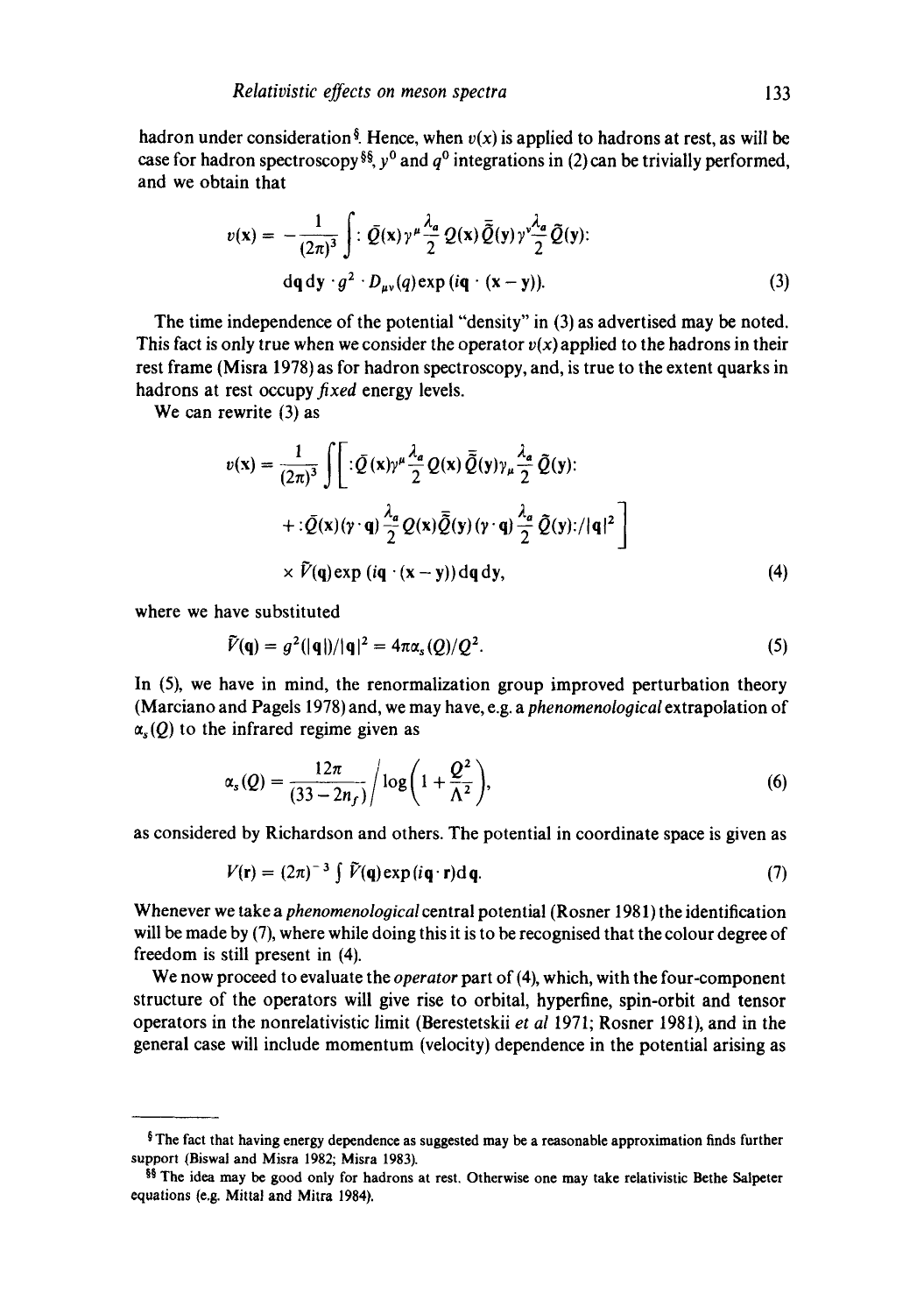hadron under consideration<sup>§</sup>. Hence, when  $v(x)$  is applied to hadrons at rest, as will be case for hadron spectroscopy §§,  $y^0$  and  $q^0$  integrations in (2) can be trivially performed, and we obtain that

$$
v(\mathbf{x}) = -\frac{1}{(2\pi)^3} \int \, : \, \bar{Q}(\mathbf{x}) \gamma^{\mu} \frac{\lambda_a}{2} Q(\mathbf{x}) \, \bar{\bar{Q}}(\mathbf{y}) \gamma^{\nu} \frac{\lambda_a}{2} \, \tilde{Q}(\mathbf{y}) \, : \n\mathrm{d}q \, \mathrm{d}\mathbf{y} \cdot g^2 \cdot D_{\mu\nu}(q) \exp(i\mathbf{q} \cdot (\mathbf{x} - \mathbf{y})).
$$
\n(3)

The time independence of the potential "density" in (3) as advertised may be noted. This fact is only true when we consider the operator  $v(x)$  applied to the hadrons in their rest frame (Misra 1978) as for hadron spectroscopy, and, is true to the extent quarks in hadrons at rest occupy *fixed* energy levels.

We can rewrite (3) as

$$
v(\mathbf{x}) = \frac{1}{(2\pi)^3} \int \left[ : \bar{Q}(\mathbf{x}) \gamma^{\mu} \frac{\lambda_a}{2} Q(\mathbf{x}) \bar{Q}(\mathbf{y}) \gamma_{\mu} \frac{\lambda_a}{2} \bar{Q}(\mathbf{y}) : + : \bar{Q}(\mathbf{x}) (\gamma \cdot \mathbf{q}) \frac{\lambda_a}{2} Q(\mathbf{x}) \bar{Q}(\mathbf{y}) (\gamma \cdot \mathbf{q}) \frac{\lambda_a}{2} \bar{Q}(\mathbf{y}) : / |\mathbf{q}|^2 \right] \times \bar{V}(\mathbf{q}) \exp(i\mathbf{q} \cdot (\mathbf{x} - \mathbf{y})) d\mathbf{q} d\mathbf{y}, \tag{4}
$$

where we have substituted

$$
\widetilde{V}(\mathbf{q}) = g^2(|\mathbf{q}|)/|\mathbf{q}|^2 = 4\pi\alpha_s(Q)/Q^2.
$$
\n(5)

In (5), we have in mind, the renormalization group improved perturbation theory (Marciano and Pagels 1978) and, we may have, e.g. a *phenomenological* extrapolation of  $\alpha_s(Q)$  to the infrared regime given as

$$
\alpha_s(Q) = \frac{12\pi}{(33 - 2n_f)} / \log\bigg(1 + \frac{Q^2}{\Lambda^2}\bigg),\tag{6}
$$

as considered by Richardson and others. The potential in coordinate space is given as

$$
V(\mathbf{r}) = (2\pi)^{-3} \int \tilde{V}(\mathbf{q}) \exp(i\mathbf{q} \cdot \mathbf{r}) d\mathbf{q}.
$$
 (7)

Whenever we take a *phenomenological* central potential (Rosner 1981) the identification will be made by (7), where while doing this it is to be recognised that the colour degree of freedom is still present in (4).

We now proceed to evaluate the *operator* part of (4), which, with the four-component structure of the operators will give rise to orbital, hyperfine, spin-orbit and tensor operators in the nonrelativistic limit (Berestetskii *et al* 1971; Rosner 1981), and in the general case will include momentum (velocity) dependence in the potential arising as

<sup>§</sup> The fact that having energy dependence as suggested may be a reasonable approximation finds further support (Biswal and Misra 1982; Misra 1983).

<sup>§§</sup> The idea may be good only for hadrons at rest. Otherwise one may take relativistic Bethe Salpeter equations (e.g. Mittal and Mitra 1984).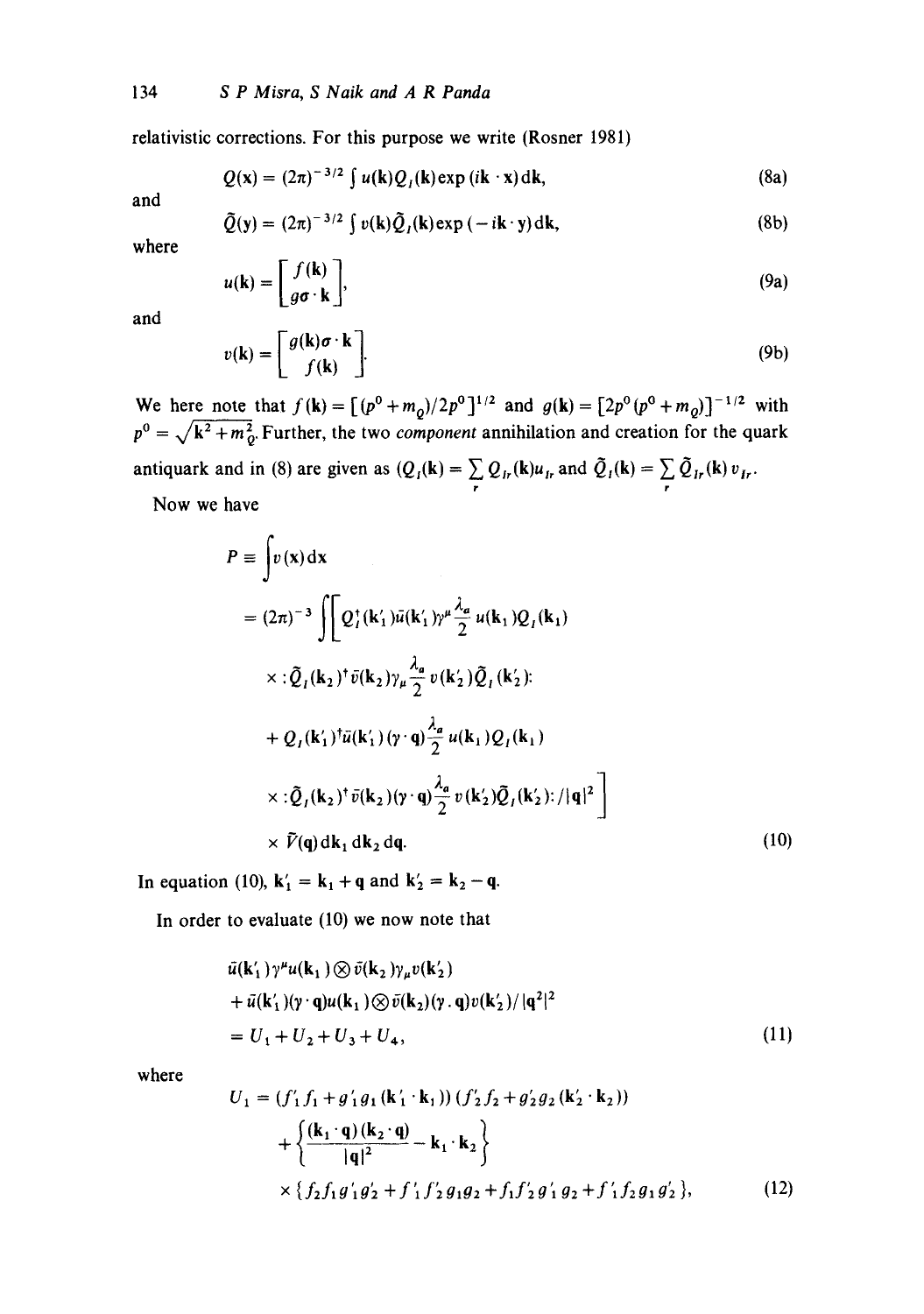relativistic corrections. For this purpose we write (Rosner 1981)

$$
Q(\mathbf{x}) = (2\pi)^{-3/2} \int u(\mathbf{k}) Q_I(\mathbf{k}) \exp(i\mathbf{k} \cdot \mathbf{x}) d\mathbf{k}, \qquad (8a)
$$

and

$$
\tilde{Q}(\mathbf{y}) = (2\pi)^{-3/2} \int v(\mathbf{k}) \tilde{Q}_I(\mathbf{k}) \exp(-i\mathbf{k} \cdot \mathbf{y}) d\mathbf{k}, \tag{8b}
$$

where

$$
u(\mathbf{k}) = \begin{bmatrix} f(\mathbf{k}) \\ g\sigma \cdot \mathbf{k} \end{bmatrix},\tag{9a}
$$

and

$$
v(\mathbf{k}) = \begin{bmatrix} g(\mathbf{k})\boldsymbol{\sigma} \cdot \mathbf{k} \\ f(\mathbf{k}) \end{bmatrix}.
$$
 (9b)

We here note that  $f(\mathbf{k}) = [(p^0 + m_o)/2p^0]^{1/2}$  and  $g(\mathbf{k}) = [2p^0(p^0 + m_o)]^{-1/2}$  with  $p^0 = \sqrt{k^2 + m_D^2}$  Further, the two *component* annihilation and creation for the quark antiquark and in (8) are given as  $(Q_i(k) = \sum_{r} Q_{ir}(k)u_i$  and  $Q_i(k) = \sum_{r} Q_{ir}(k)v_{ir}$ .

Now we have

$$
P = \int v(\mathbf{x}) d\mathbf{x}
$$
  
\n
$$
= (2\pi)^{-3} \int \left[ Q_{i}^{\dagger}(\mathbf{k}'_{1}) \bar{u}(\mathbf{k}'_{1}) \gamma^{\mu} \frac{\lambda_{a}}{2} u(\mathbf{k}_{1}) Q_{i}(\mathbf{k}_{1}) \right]
$$
  
\n
$$
\times : \tilde{Q}_{i}(\mathbf{k}_{2})^{\dagger} \bar{v}(\mathbf{k}_{2}) \gamma_{\mu} \frac{\lambda_{a}}{2} v(\mathbf{k}'_{2}) \tilde{Q}_{i}(\mathbf{k}'_{2}) :
$$
  
\n
$$
+ Q_{i}(\mathbf{k}'_{1})^{\dagger} \bar{u}(\mathbf{k}'_{1}) (\gamma \cdot \mathbf{q}) \frac{\lambda_{a}}{2} u(\mathbf{k}_{1}) Q_{i}(\mathbf{k}_{1})
$$
  
\n
$$
\times : \tilde{Q}_{i}(\mathbf{k}_{2})^{\dagger} \bar{v}(\mathbf{k}_{2}) (\gamma \cdot \mathbf{q}) \frac{\lambda_{a}}{2} v(\mathbf{k}'_{2}) \tilde{Q}_{i}(\mathbf{k}'_{2}) : / |\mathbf{q}|^{2} \right]
$$
  
\n
$$
\times \tilde{V}(\mathbf{q}) d\mathbf{k}_{1} d\mathbf{k}_{2} d\mathbf{q}. \qquad (10)
$$

In equation (10),  $k'_1 = k_1 + q$  and  $k'_2 = k_2 - q$ .

In order to evaluate (10) we now note that

$$
\bar{u}(\mathbf{k}'_1)\gamma^{\mu}u(\mathbf{k}_1)\otimes \bar{v}(\mathbf{k}_2)\gamma_{\mu}v(\mathbf{k}'_2) \n+ \bar{u}(\mathbf{k}'_1)(\gamma \cdot \mathbf{q})u(\mathbf{k}_1)\otimes \bar{v}(\mathbf{k}_2)(\gamma \cdot \mathbf{q})v(\mathbf{k}'_2)/|\mathbf{q}^2|^2 \n= U_1 + U_2 + U_3 + U_4,
$$
\n(11)

where

$$
U_1 = (f'_1 f_1 + g'_1 g_1 (\mathbf{k}'_1 \cdot \mathbf{k}_1)) (f'_2 f_2 + g'_2 g_2 (\mathbf{k}'_2 \cdot \mathbf{k}_2))
$$
  
+ 
$$
\left\{ \frac{(\mathbf{k}_1 \cdot \mathbf{q}) (\mathbf{k}_2 \cdot \mathbf{q})}{|\mathbf{q}|^2} - \mathbf{k}_1 \cdot \mathbf{k}_2 \right\}
$$
  
× 
$$
\{ f_2 f_1 g'_1 g'_2 + f'_1 f'_2 g_1 g_2 + f_1 f'_2 g'_1 g_2 + f'_1 f_2 g_1 g'_2 \},
$$
 (12)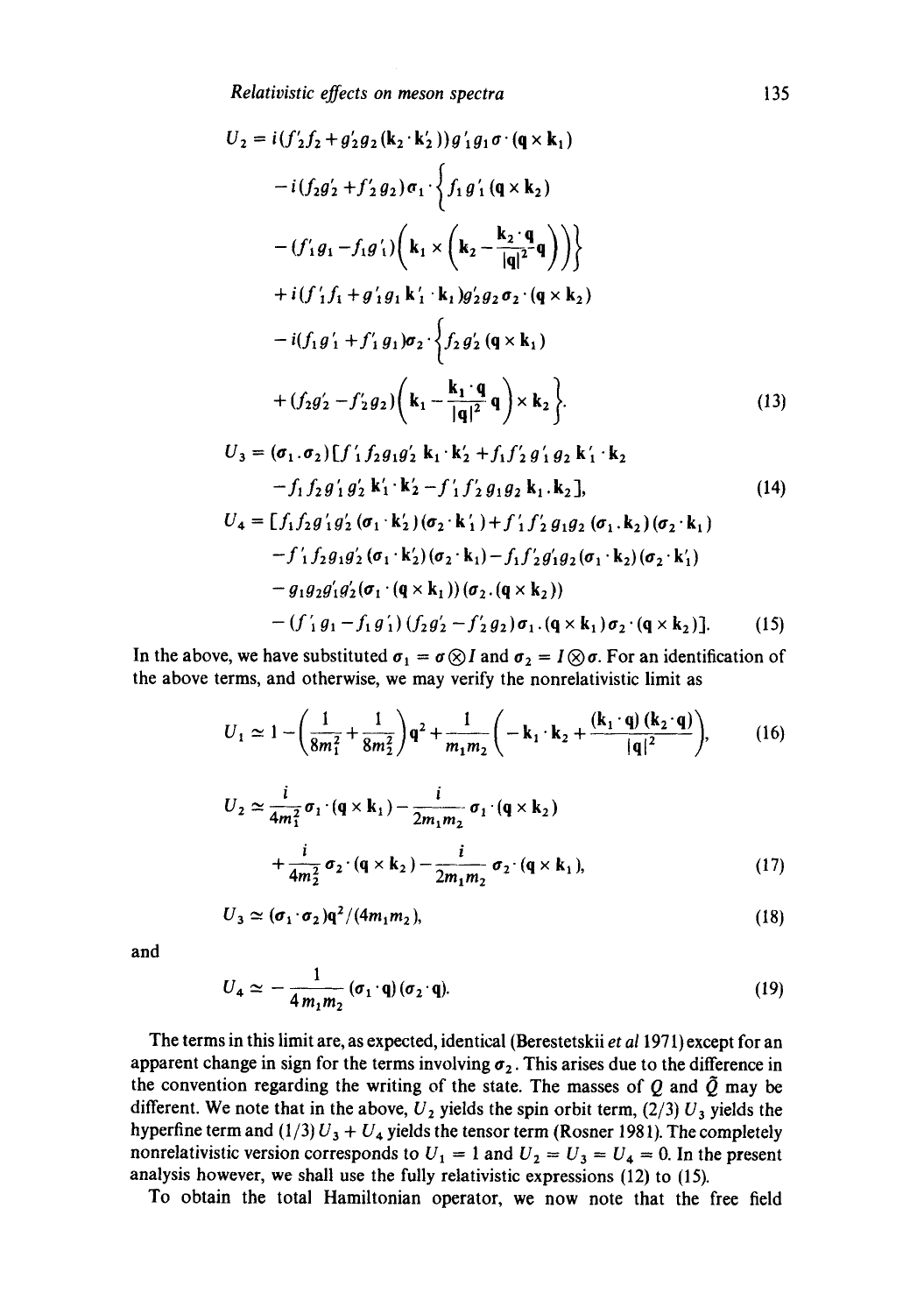*Relativistic effects on meson spectra* 135

$$
U_2 = i(f'_2f_2 + g'_2g_2(\mathbf{k}_2 \cdot \mathbf{k}'_2))g'_1g_1\sigma \cdot (\mathbf{q} \times \mathbf{k}_1)
$$
  
\n
$$
-i(f_2g'_2 + f'_2g_2)\sigma_1 \cdot \left\{f_1g'_1(\mathbf{q} \times \mathbf{k}_2)\right\}
$$
  
\n
$$
-(f'_1g_1 - f_1g'_1)\left(\mathbf{k}_1 \times \left(\mathbf{k}_2 - \frac{\mathbf{k}_2 \cdot \mathbf{q}}{|\mathbf{q}|^2}\mathbf{q}\right)\right)\right\}
$$
  
\n
$$
+i(f'_1f_1 + g'_1g_1\mathbf{k}'_1 \cdot \mathbf{k}_1)g'_2g_2\sigma_2 \cdot (\mathbf{q} \times \mathbf{k}_2)
$$
  
\n
$$
-i(f_1g'_1 + f'_1g_1)\sigma_2 \cdot \left\{f_2g'_2(\mathbf{q} \times \mathbf{k}_1)\right\}
$$
  
\n
$$
+ (f_2g'_2 - f'_2g_2)\left(\mathbf{k}_1 - \frac{\mathbf{k}_1 \cdot \mathbf{q}}{|\mathbf{q}|^2}\mathbf{q}\right) \times \mathbf{k}_2\right\}.
$$
  
\n
$$
U_2 = (g_1, g_2)\left(f'_1, f_2g'_2, \mathbf{k}_2 \cdot \mathbf{k}'_2 + f'_2g'_2(g_2, g'_2, g'_2, g'_2)\right).
$$
  
\n(13)

$$
U_3 = (\sigma_1 \cdot \sigma_2) [j'_1 j_2 g_1 g'_2 \mathbf{k}_1 \cdot \mathbf{k}'_2 + j_1 j'_2 g'_1 g_2 \mathbf{k}'_1 \cdot \mathbf{k}_2 - f_1 f_2 g'_1 g'_2 \mathbf{k}'_1 \cdot \mathbf{k}'_2 - f'_1 f'_2 g_1 g_2 \mathbf{k}_1 \cdot \mathbf{k}_2],
$$
(14)  

$$
U_4 = [f_1 f_2 g'_1 g'_2 (\sigma_1 \cdot \mathbf{k}'_2) (\sigma_2 \cdot \mathbf{k}'_1) + f'_1 f'_2 g_1 g_2 (\sigma_1 \cdot \mathbf{k}_2) (\sigma_2 \cdot \mathbf{k}_1) - f'_1 f_2 g_1 g'_2 (\sigma_1 \cdot \mathbf{k}'_2) (\sigma_2 \cdot \mathbf{k}_1) - f_1 f'_2 g'_1 g_2 (\sigma_1 \cdot \mathbf{k}_2) (\sigma_2 \cdot \mathbf{k}'_1) - g_1 g_2 g'_1 g'_2 (\sigma_1 \cdot (\mathbf{q} \times \mathbf{k}_1)) (\sigma_2 \cdot (\mathbf{q} \times \mathbf{k}_2)) - (f'_1 g_1 - f_1 g'_1) (f_2 g'_2 - f'_2 g_2) \sigma_1 \cdot (\mathbf{q} \times \mathbf{k}_1) \sigma_2 \cdot (\mathbf{q} \times \mathbf{k}_2)].
$$
(15)

In the above, we have substituted  $\sigma_1 = \sigma \otimes I$  and  $\sigma_2 = I \otimes \sigma$ . For an identification of the above terms, and otherwise, we may verify the nonrelativistic limit as

$$
U_1 \simeq 1 - \left(\frac{1}{8m_1^2} + \frac{1}{8m_2^2}\right)q^2 + \frac{1}{m_1m_2}\left(-k_1 \cdot k_2 + \frac{(k_1 \cdot q) (k_2 \cdot q)}{|q|^2}\right),\tag{16}
$$

$$
U_2 \simeq \frac{i}{4m_1^2} \sigma_1 \cdot (\mathbf{q} \times \mathbf{k}_1) - \frac{i}{2m_1 m_2} \sigma_1 \cdot (\mathbf{q} \times \mathbf{k}_2)
$$
  
+ 
$$
\frac{i}{4m_2^2} \sigma_2 \cdot (\mathbf{q} \times \mathbf{k}_2) - \frac{i}{2m_1 m_2} \sigma_2 \cdot (\mathbf{q} \times \mathbf{k}_1),
$$
 (17)

$$
U_3 \simeq (\sigma_1 \cdot \sigma_2) \mathbf{q}^2 / (4m_1 m_2), \tag{18}
$$

and

$$
U_4 \simeq -\frac{1}{4m_1m_2} \left( \sigma_1 \cdot \mathbf{q} \right) \left( \sigma_2 \cdot \mathbf{q} \right). \tag{19}
$$

The terms in this limit are, as expected, identical (Berestetskii *et a11971)* except for an apparent change in sign for the terms involving  $\sigma_2$ . This arises due to the difference in the convention regarding the writing of the state. The masses of Q and  $\tilde{Q}$  may be different. We note that in the above,  $U_2$  yields the spin orbit term, (2/3)  $U_3$  yields the hyperfine term and  $(1/3) U_3 + U_4$  yields the tensor term (Rosner 1981). The completely nonrelativistic version corresponds to  $U_1 = 1$  and  $U_2 = U_3 = U_4 = 0$ . In the present analysis however, we shall use the fully relativistic expressions (12) to (15).

To obtain the total Hamiltonian operator, we now note that the free field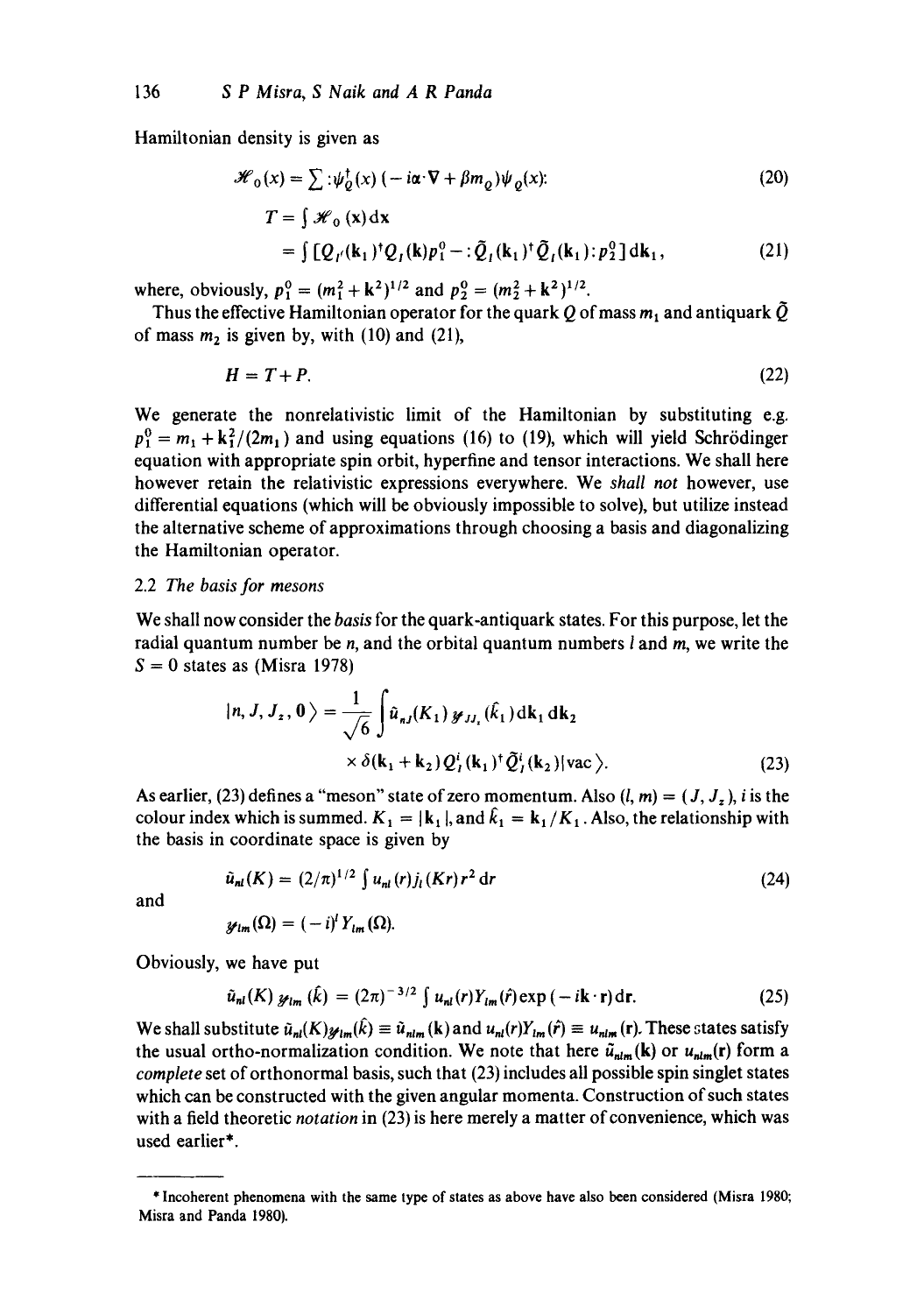Hamiltonian density is given as

$$
\mathcal{H}_0(x) = \sum \left( \psi_Q^{\dagger}(x) \left( -i\alpha \cdot \nabla + \beta m_Q \right) \psi_Q(x) \right) \tag{20}
$$
\n
$$
T = \int \mathcal{H}_0(x) dx
$$
\n
$$
= \int \left[ Q_{\nu}(k_1)^{\dagger} Q_{\nu}(k) p_1^0 - \left( \tilde{Q}_{\nu}(k_1)^{\dagger} \tilde{Q}_{\nu}(k_1) \right) p_2^0 \right] dk_1, \tag{21}
$$

where, obviously,  $p_1^0 = (m_1^2 + k^2)^{1/2}$  and  $p_2^0 = (m_2^2 + k^2)^{1/2}$ .

Thus the effective Hamiltonian operator for the quark Q of mass  $m_1$  and antiquark  $\tilde{Q}$ of mass  $m_2$  is given by, with (10) and (21),

$$
H = T + P. \tag{22}
$$

We generate the nonrelativistic limit of the Hamiltonian by substituting e.g.  $p_1^0 = m_1 + k_1^2/(2m_1)$  and using equations (16) to (19), which will yield Schrödinger equation with appropriate spin orbit, hyperfine and tensor interactions. We shall here however retain the relativistic expressions everywhere. We *shall not* however, use differential equations (which will be obviously impossible to solve), but utilize instead the alternative scheme of approximations through choosing a basis and diagonalizing the Hamiltonian operator.

## 2.2 *The basis for mesons*

We shall now consider the *basis* for the quark-antiquark states. For this purpose, let the radial quantum number be *n*, and the orbital quantum numbers *l* and *m*, we write the  $S = 0$  states as (Misra 1978)

$$
|n, J, J_z, 0\rangle = \frac{1}{\sqrt{6}} \int \hat{u}_{nj}(K_1) \mathcal{J}_{JJ_z}(\hat{k}_1) dk_1 dk_2
$$
  
 
$$
\times \delta(\mathbf{k}_1 + \mathbf{k}_2) Q^i_j(\mathbf{k}_1)^{\dagger} \tilde{Q}^i_j(\mathbf{k}_2) | \text{vac}\rangle.
$$
 (23)

As earlier, (23) defines a "meson" state of zero momentum. Also  $(l, m) = (J, J_z)$ , i is the colour index which is summed.  $K_1 = |k_1|$ , and  $\hat{k}_1 = k_1/K_1$ . Also, the relationship with the basis in coordinate space is given by

$$
\hat{u}_{nl}(K) = (2/\pi)^{1/2} \int u_{nl}(r) j_l(Kr) r^2 dr
$$
\n(24)

and

$$
\mathcal{Y}_{lm}(\Omega)=(-i)^l Y_{lm}(\Omega).
$$

Obviously, we have put

$$
\tilde{u}_{nl}(K) \mathcal{Y}_{lm}(\hat{k}) = (2\pi)^{-3/2} \int u_{nl}(r) Y_{lm}(\hat{r}) \exp\left(-i\mathbf{k}\cdot\mathbf{r}\right) d\mathbf{r}.\tag{25}
$$

We shall substitute  $\tilde{u}_{nl}(K)_{\mathscr{Y}lm}(\hat{k}) \equiv \tilde{u}_{nlm}(k)$  and  $u_{nl}(r)Y_{lm}(\hat{r}) \equiv u_{nlm}(r)$ . These states satisfy the usual ortho-normalization condition. We note that here  $\tilde{u}_{nlm}(\mathbf{k})$  or  $u_{nlm}(\mathbf{r})$  form a *complete* set of orthonormal basis, such that (23) includes all possible spin singlet states which can be constructed with the given angular momenta. Construction of such states with a field theoretic *notation* in (23) is here merely a matter of convenience, which was used earlier\*.

<sup>\*</sup> Incoherent phenomena with the same type of states as above have also been considered (Misra 1980; Misra and Panda 1980).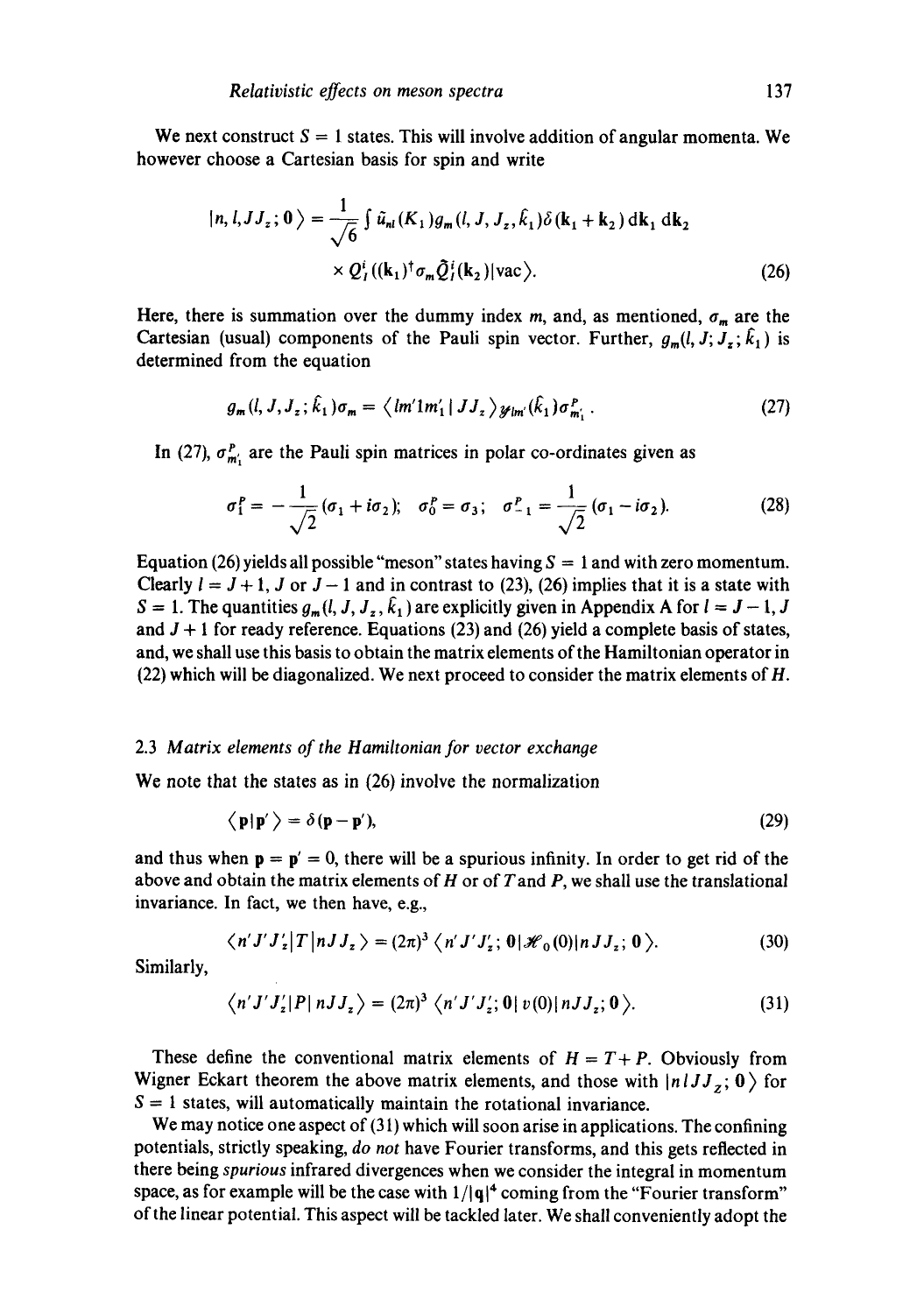We next construct  $S = 1$  states. This will involve addition of angular momenta. We however choose a Cartesian basis for spin and write

$$
|n, l, JJ_z; \mathbf{0} \rangle = \frac{1}{\sqrt{6}} \int \tilde{u}_{nl}(K_1) g_m(l, J, J_z, \hat{k}_1) \delta(\mathbf{k}_1 + \mathbf{k}_2) \, \mathrm{d}\mathbf{k}_1 \, \mathrm{d}\mathbf{k}_2
$$
  
 
$$
\times Q_I^i((\mathbf{k}_1)^{\dagger} \sigma_m \tilde{Q}_I^i(\mathbf{k}_2) | \text{vac} \rangle. \tag{26}
$$

Here, there is summation over the dummy index m, and, as mentioned,  $\sigma_m$  are the Cartesian (usual) components of the Pauli spin vector. Further,  $g_m(l, J; J_z; \hat{k}_1)$  is determined from the equation

$$
g_m(l, J, J_z; \hat{k}_1) \sigma_m = \langle lm' 1m'_1 | JJ_z \rangle_{\mathscr{Y}lm'}(\hat{k}_1) \sigma_{m'_1}^P. \qquad (27)
$$

In (27),  $\sigma_{m_1}^P$  are the Pauli spin matrices in polar co-ordinates given as

$$
\sigma_1^P = -\frac{1}{\sqrt{2}} (\sigma_1 + i \sigma_2); \quad \sigma_0^P = \sigma_3; \quad \sigma_{-1}^P = \frac{1}{\sqrt{2}} (\sigma_1 - i \sigma_2).
$$
 (28)

Equation (26) yields all possible "meson" states having  $S = 1$  and with zero momentum. Clearly  $l = J + 1$ , J or  $J - 1$  and in contrast to (23), (26) implies that it is a state with  $S = 1$ . The quantities  $g_m(l, J, J_z, \hat{k}_1)$  are explicitly given in Appendix A for  $l = J - 1, J$ and  $J + 1$  for ready reference. Equations (23) and (26) yield a complete basis of states, and, we shall use this basis to obtain the matrix elements of the Hamiltonian operator in (22) which will be diagonalized. We next proceed to consider the matrix elements of H.

## 2.3 *Matrix elements of the Hamiltonian for vector exchange*

We note that the states as in  $(26)$  involve the normalization

$$
\langle \mathbf{p} | \mathbf{p}' \rangle = \delta(\mathbf{p} - \mathbf{p}'),\tag{29}
$$

and thus when  $\mathbf{p} = \mathbf{p}' = 0$ , there will be a spurious infinity. In order to get rid of the above and obtain the matrix elements of  $H$  or of  $T$  and  $P$ , we shall use the translational invariance. In fact, we then have, e.g.,

$$
\langle n' J' J_z' | T | n J J_z \rangle = (2\pi)^3 \langle n' J' J_z'; 0 | \mathcal{H}_0(0) | n J J_z; 0 \rangle.
$$
 (30)

Similarly,

$$
\langle n' J' J_z' | P | n J J_z \rangle = (2\pi)^3 \langle n' J' J_z'; 0 | v(0) | n J J_z; 0 \rangle.
$$
 (31)

These define the conventional matrix elements of  $H = T + P$ . Obviously from Wigner Eckart theorem the above matrix elements, and those with  $\vert n I J J_z; 0 \rangle$  for  $S = 1$  states, will automatically maintain the rotational invariance.

We may notice one aspect of (31) which will soon arise in applications. The confining potentials, strictly speaking, *do not* have Fourier transforms, and this gets reflected in there being *spurious* infrared divergences when we consider the integral in momentum space, as for example will be the case with  $1/|q|^4$  coming from the "Fourier transform" of the linear potential. This aspect will be tackled later. We shall conveniently adopt the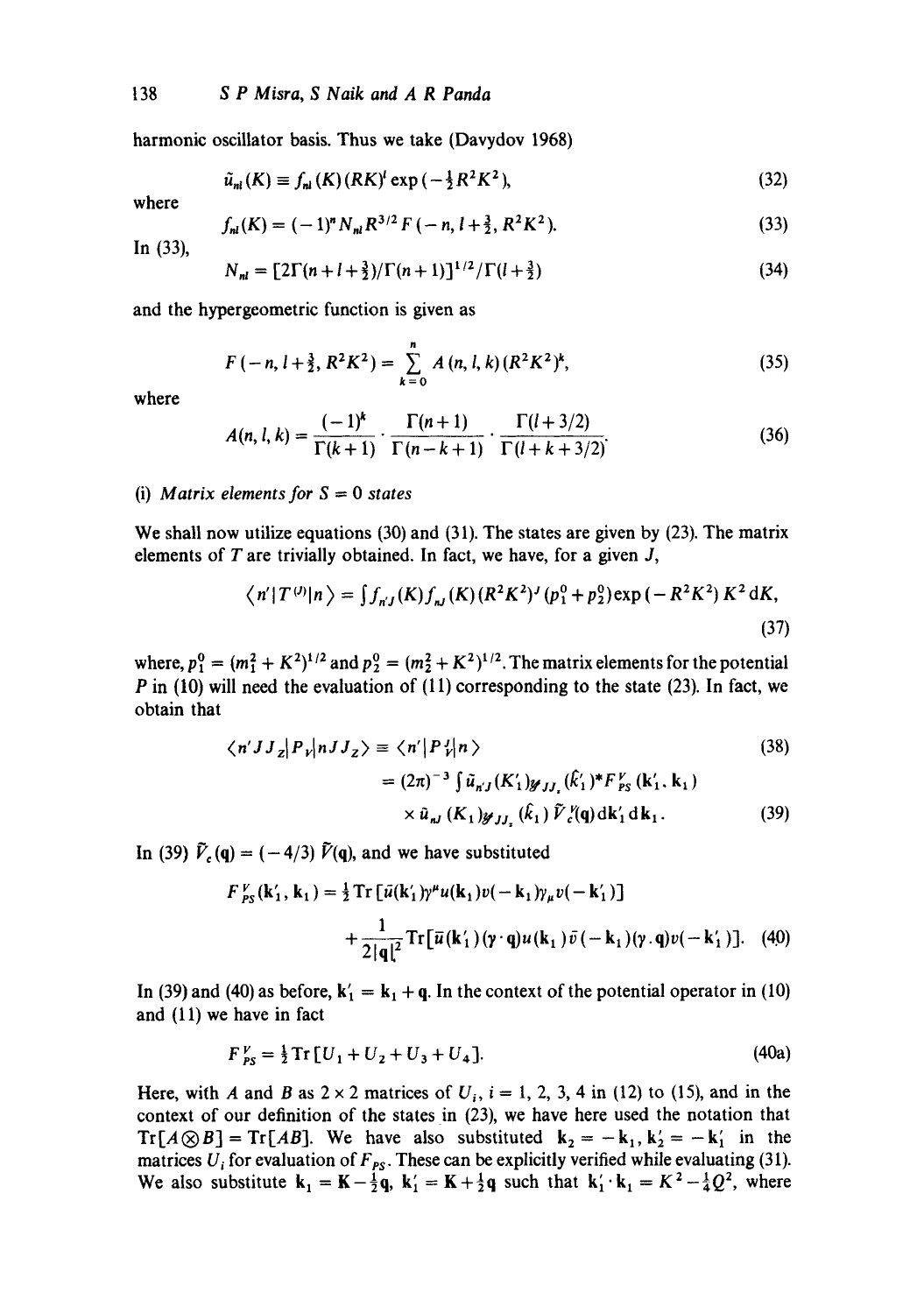harmonic oscillator basis. Thus we take (Davydov 1968)

$$
\tilde{u}_{nl}(K) \equiv f_{nl}(K)(RK)^l \exp\left(-\frac{1}{2}R^2K^2\right),\tag{32}
$$

where

$$
f_{nl}(K) = (-1)^n N_{nl} R^{3/2} F(-n, l + \frac{3}{2}, R^2 K^2).
$$
 (33)

In (33),

$$
N_{nl} = \left[2\Gamma(n+l+\frac{3}{2})/\Gamma(n+1)\right]^{1/2}/\Gamma(l+\frac{3}{2})\tag{34}
$$

and the hypergeometric function is given as

$$
F(-n, l+\frac{3}{2}, R^2K^2) = \sum_{k=0}^{n} A(n, l, k) (R^2K^2)^k,
$$
 (35)

where

$$
A(n, l, k) = \frac{(-1)^k}{\Gamma(k+1)} \cdot \frac{\Gamma(n+1)}{\Gamma(n-k+1)} \cdot \frac{\Gamma(l+3/2)}{\Gamma(l+k+3/2)}.
$$
 (36)

## (i) *Matrix elements for S = 0 states*

We shall now utilize equations (30) and (31). The states are given by (23). The matrix elements of  $T$  are trivially obtained. In fact, we have, for a given  $J$ ,

$$
\langle n' | T^{(j)} | n \rangle = \int f_{n'j}(K) f_{nj}(K) (R^2 K^2)^j (p_1^0 + p_2^0) \exp(-R^2 K^2) K^2 dK,
$$
\n(37)

where,  $p_1^0 = (m_1^2 + K^2)^{1/2}$  and  $p_2^0 = (m_2^2 + K^2)^{1/2}$ . The matrix elements for the potential P in  $(10)$  will need the evaluation of  $(11)$  corresponding to the state  $(23)$ . In fact, we obtain that

$$
\langle n'JJ_z|P_v|nJJ_z\rangle \equiv \langle n'|P_v'|n\rangle
$$
  
=  $(2\pi)^{-3} \int \tilde{u}_{n'J}(K'_1)g_{JJ}(k'_1)^*F_{PS}^V(k'_1,k_1)$  (38)

$$
\times \tilde{u}_{nJ} (K_1)_{N^2 J} (\hat{k}_1) \tilde{V}_c^V(\mathbf{q}) \, \mathrm{d} \mathbf{k}'_1 \, \mathrm{d} \mathbf{k}_1. \tag{39}
$$

In (39)  $\tilde{V}_c(\mathbf{q}) = (-4/3) \tilde{V}(\mathbf{q})$ , and we have substituted

$$
F_{PS}^{V}(\mathbf{k}'_1, \mathbf{k}_1) = \frac{1}{2} \operatorname{Tr} \left[ \bar{u}(\mathbf{k}'_1) \gamma^{\mu} u(\mathbf{k}_1) v(-\mathbf{k}_1) \gamma_{\mu} v(-\mathbf{k}'_1) \right] + \frac{1}{2|\mathbf{q}|^2} \operatorname{Tr} \left[ \bar{u}(\mathbf{k}'_1) (\gamma \cdot \mathbf{q}) u(\mathbf{k}_1) \bar{v}(-\mathbf{k}_1) (\gamma \cdot \mathbf{q}) v(-\mathbf{k}'_1) \right]. \tag{40}
$$

In (39) and (40) as before,  $k'_1 = k_1 + q$ . In the context of the potential operator in (10) and (11) we have in fact

$$
F_{PS}^V = \frac{1}{2} \operatorname{Tr} \left[ U_1 + U_2 + U_3 + U_4 \right]. \tag{40a}
$$

Here, with A and B as  $2 \times 2$  matrices of  $U_i$ ,  $i = 1, 2, 3, 4$  in (12) to (15), and in the context of our definition of the states in (23), we have here used the notation that  $Tr[A \otimes B] = Tr[AB]$ . We have also substituted  $k_2 = -k_1, k_2' = -k_1'$  in the matrices  $U_i$  for evaluation of  $F_{PS}$ . These can be explicitly verified while evaluating (31). We also substitute  $k_1 = K - \frac{1}{2}q$ ,  $k'_1 = K + \frac{1}{2}q$  such that  $k'_1 \cdot k_1 = K^2 - \frac{1}{4}Q^2$ , where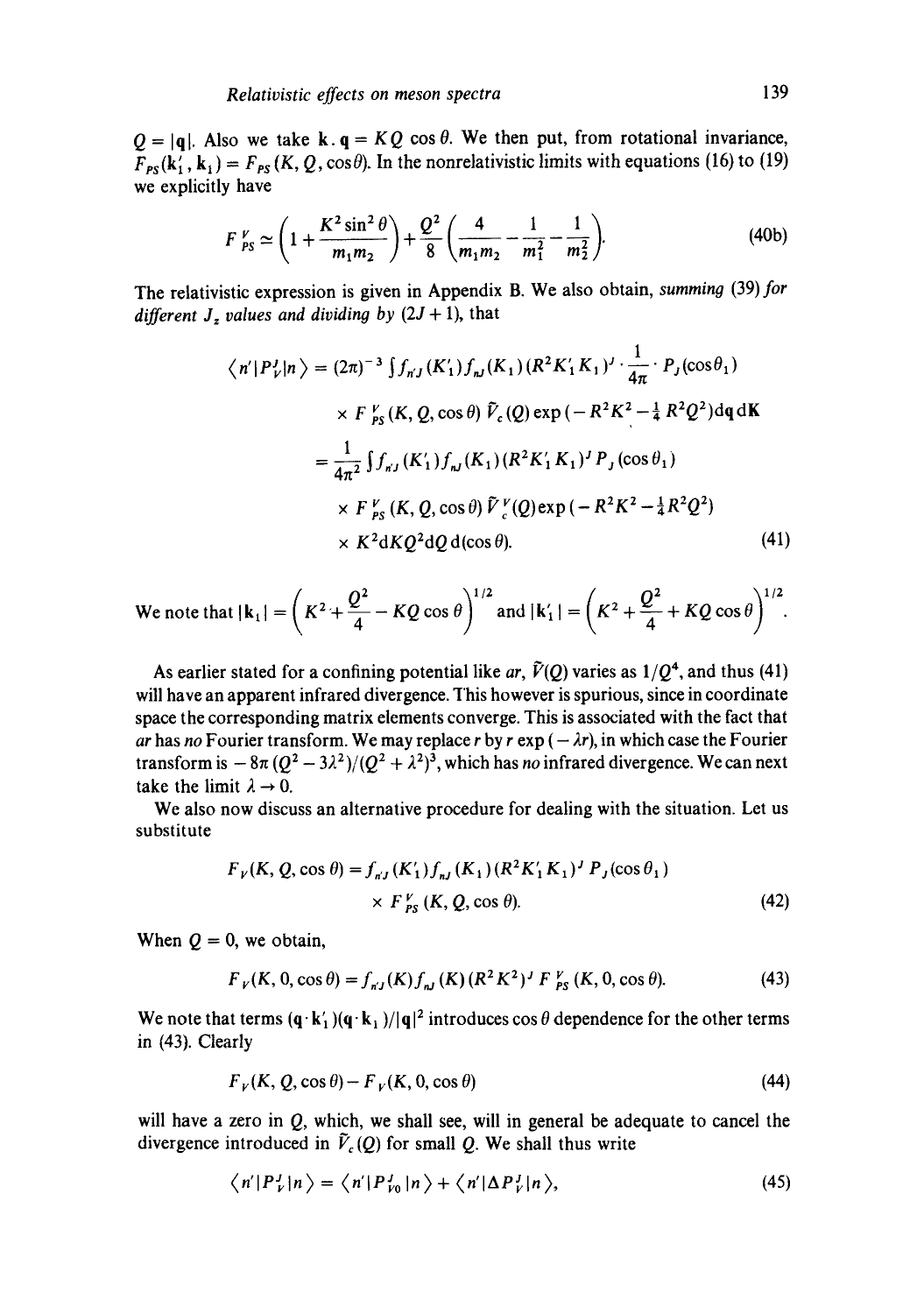$Q = |q|$ . Also we take k.  $q = KQ \cos \theta$ . We then put, from rotational invariance,  $F_{PS}(k'_1, k_1) = F_{PS}(K, Q, \cos\theta)$ . In the nonrelativistic limits with equations (16) to (19) we explicitly have

$$
F_{PS}^{\nu} \simeq \left(1 + \frac{K^2 \sin^2 \theta}{m_1 m_2}\right) + \frac{Q^2}{8} \left(\frac{4}{m_1 m_2} - \frac{1}{m_1^2} - \frac{1}{m_2^2}\right).
$$
 (40b)

The relativistic expression is given in Appendix B. We also obtain, *summing* (39) for different  $J_z$  values and dividing by  $(2J + 1)$ , that

$$
\langle n' | P_V^J | n \rangle = (2\pi)^{-3} \int f_{nJ}(K_1') f_{nJ}(K_1) (R^2 K_1' K_1)^{J} \cdot \frac{1}{4\pi} \cdot P_J(\cos \theta_1)
$$
  

$$
\times F_{PS}^V(K, Q, \cos \theta) \tilde{V}_c(Q) \exp(-R^2 K^2 - \frac{1}{4} R^2 Q^2) d\mathbf{q} d\mathbf{K}
$$
  

$$
= \frac{1}{4\pi^2} \int f_{nJ}(K_1') f_{nJ}(K_1) (R^2 K_1' K_1)^{J} P_J(\cos \theta_1)
$$
  

$$
\times F_{PS}^V(K, Q, \cos \theta) \tilde{V}_c^V(Q) \exp(-R^2 K^2 - \frac{1}{4} R^2 Q^2)
$$
  

$$
\times K^2 dK Q^2 dQ d(\cos \theta).
$$
 (41)

We note that 
$$
|\mathbf{k}_1| = \left(K^2 + \frac{Q^2}{4} - KQ\cos\theta\right)^{1/2}
$$
 and  $|\mathbf{k}'_1| = \left(K^2 + \frac{Q^2}{4} + KQ\cos\theta\right)^{1/2}$ .

As earlier stated for a confining potential like *ar*,  $\tilde{V}(Q)$  varies as  $1/Q^4$ , and thus (41) will have an apparent infrared divergence. This however is spurious, since in coordinate space the corresponding matrix elements converge. This is associated with the fact that *ar* has *no* Fourier transform. We may replace r by r exp  $(-\lambda r)$ , in which case the Fourier transform is  $-8\pi (Q^2 - 3\lambda^2)/(Q^2 + \lambda^2)^3$ , which has *no* infrared divergence. We can next take the limit  $\lambda \rightarrow 0$ .

We also now discuss an alternative procedure for dealing with the situation. Let us substitute

$$
F_V(K, Q, \cos \theta) = f_{nJ}(K'_1) f_{nJ}(K_1) (R^2 K'_1 K_1)^J P_J(\cos \theta_1)
$$
  
×  $F_{PS}^{V}(K, Q, \cos \theta)$ . (42)

When  $Q = 0$ , we obtain,

$$
F_V(K, 0, \cos \theta) = f_{nJ}(K) f_{nJ}(K) (R^2 K^2)^J F_{PS}^V(K, 0, \cos \theta).
$$
 (43)

We note that terms  $(q k_1')(q k_1)/|q|^2$  introduces cos  $\theta$  dependence for the other terms in (43). Clearly

$$
F_V(K, Q, \cos \theta) - F_V(K, 0, \cos \theta) \tag{44}
$$

will have a zero in  $Q$ , which, we shall see, will in general be adequate to cancel the divergence introduced in  $\tilde{V}_c(Q)$  for small Q. We shall thus write

$$
\left\langle n' | P_V^J | n \right\rangle = \left\langle n' | P_{V0}^J | n \right\rangle + \left\langle n' | \Delta P_V^J | n \right\rangle, \tag{45}
$$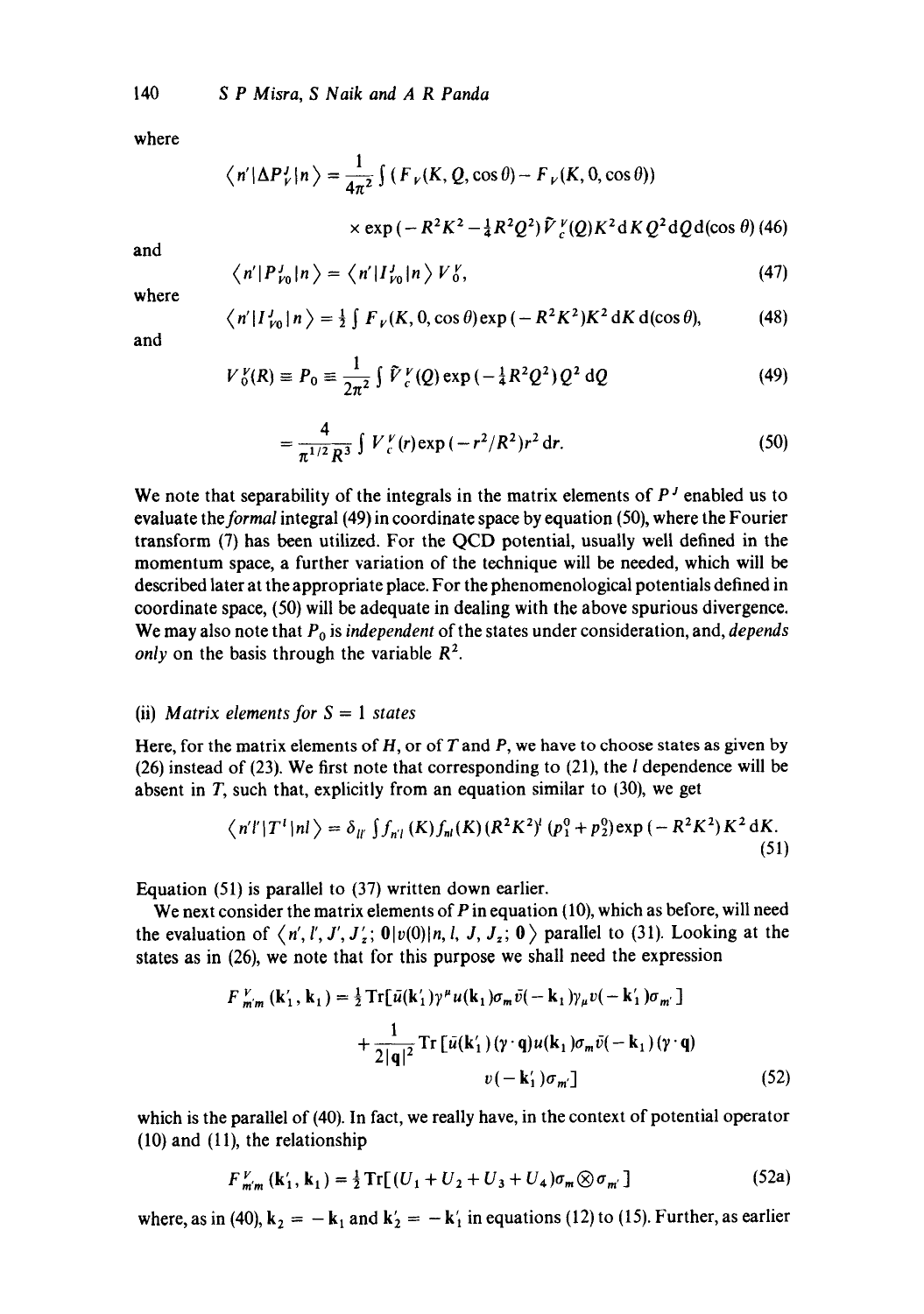where

$$
\langle n'|\Delta P_{V}^{J}|n\rangle = \frac{1}{4\pi^{2}}\int (F_{V}(K, Q, \cos\theta) - F_{V}(K, 0, \cos\theta))
$$
  
× exp (-R<sup>2</sup>K<sup>2</sup> -  $\frac{1}{4}$ R<sup>2</sup>Q<sup>2</sup>) $\tilde{V}_{V}^{V}(Q)K^{2}$ d K Q<sup>2</sup>dQd(cos θ) (46)

and

$$
\left\langle n' | P_{\nu_0}^J | n \right\rangle = \left\langle n' | I_{\nu_0}^J | n \right\rangle V_0^V, \tag{47}
$$

where

$$
\langle n'|I'_{\nu 0}|n\rangle = \frac{1}{2}\int F_{\nu}(K,0,\cos\theta)\exp(-R^2K^2)K^2 dK d(\cos\theta),\tag{48}
$$

and

$$
V_0^V(R) \equiv P_0 \equiv \frac{1}{2\pi^2} \int \tilde{V}_c^V(Q) \exp(-\frac{1}{4}R^2 Q^2) Q^2 dQ
$$
 (49)

$$
= \frac{4}{\pi^{1/2} R^3} \int V_{c}^{\nu} (r) \exp(-r^2/R^2) r^2 dr.
$$
 (50)

We note that separability of the integrals in the matrix elements of  $P<sup>J</sup>$  enabled us to evaluate *the formal* integral (49) in coordinate space by equation (50), where the Fourier transform (7) has been utilized. For the QCD potential, usually well defined in the momentum space, a further variation of the technique will be needed, which will be described later at the appropriate place. For the phenomenological potentials defined in coordinate space, (50) will be adequate in dealing with the above spurious divergence. We may also note that  $P_0$  is *independent* of the states under consideration, and, *depends only* on the basis through the variable  $R^2$ .

### (ii) *Matrix elements for S = 1 states*

Here, for the matrix elements of  $H$ , or of  $T$  and  $P$ , we have to choose states as given by (26) instead of (23). We first note that corresponding to (21), the  $l$  dependence will be absent in  $T$ , such that, explicitly from an equation similar to (30), we get

$$
\langle n'l'|T^T|nl\rangle = \delta_{ll'}\int f_{nl}(K)f_{nl}(K)(R^2K^2)^l(p_1^0+p_2^0)\exp(-R^2K^2)K^2 dK.
$$
\n(51)

Equation (51) is parallel to (37) written down earlier.

We next consider the matrix elements of  $P$  in equation  $(10)$ , which as before, will need the evaluation of  $\langle n', l', J', J'_z; 0|v(0)|n, l, J, J_z; 0 \rangle$  parallel to (31). Looking at the states as in (26), we note that for this purpose we shall need the expression

$$
F_{m'm}^{V}(k'_1, k_1) = \frac{1}{2} \text{Tr}[\bar{u}(k'_1)\gamma^{\mu}u(k_1)\sigma_m\bar{v}(-k_1)\gamma_{\mu}v(-k'_1)\sigma_m]
$$

$$
+ \frac{1}{2|q|^2} \text{Tr}[\bar{u}(k'_1)(\gamma \cdot q)u(k_1)\sigma_m\bar{v}(-k_1)(\gamma \cdot q)
$$

$$
v(-k'_1)\sigma_m]
$$
(52)

which is the parallel of (40). In fact, we really have, in the context of potential operator (10) and (11), the relationship

$$
F_{m'm}^{V}(\mathbf{k}'_1, \mathbf{k}_1) = \frac{1}{2} \text{Tr}[(U_1 + U_2 + U_3 + U_4)\sigma_m \otimes \sigma_{m'}]
$$
 (52a)

where, as in (40),  $k_2 = -k_1$  and  $k'_2 = -k'_1$  in equations (12) to (15). Further, as earlier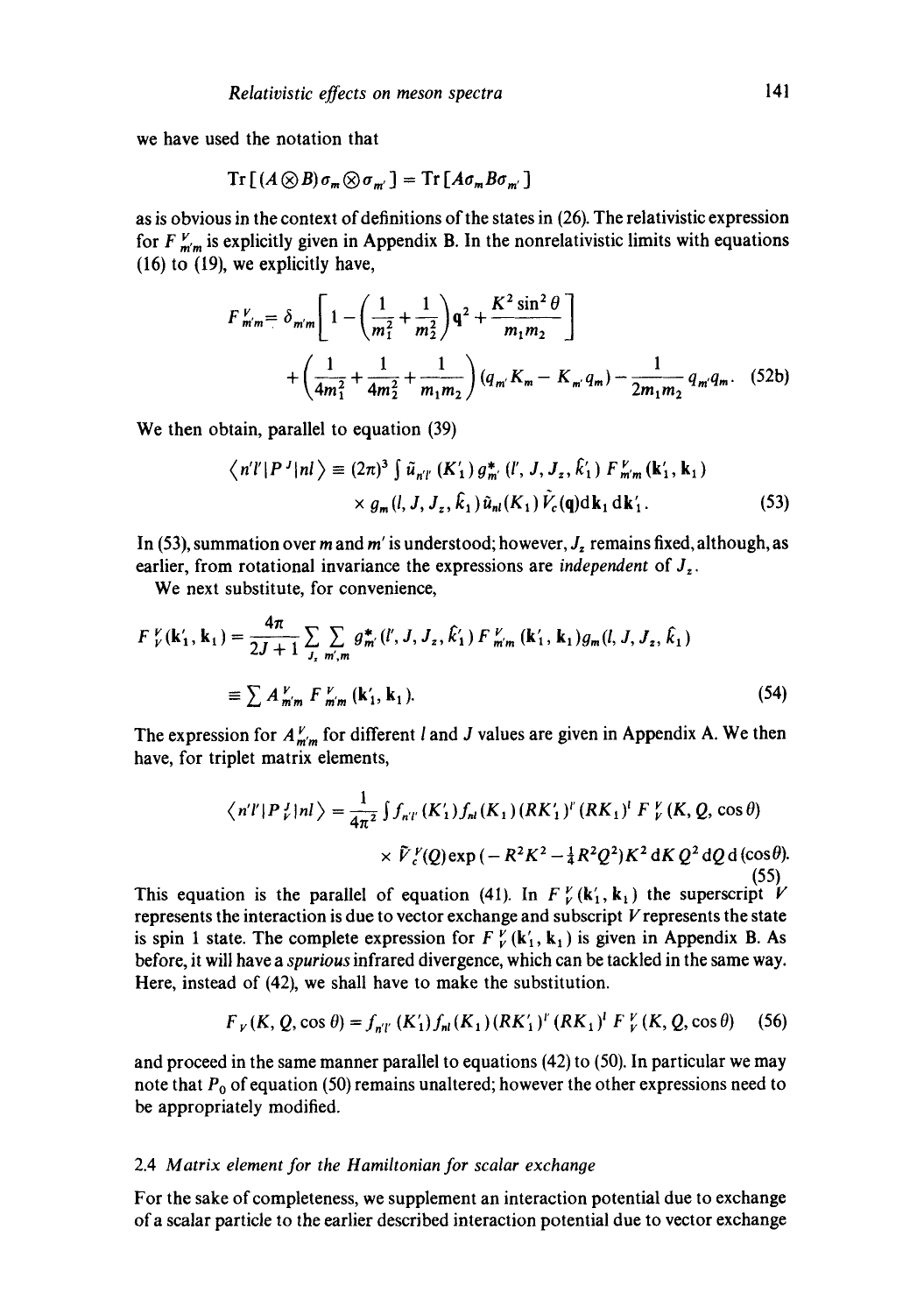we have used the notation that

$$
\operatorname{Tr}\left[\left(A\otimes B\right)\sigma_{m}\otimes\sigma_{m^{'}}\right]=\operatorname{Tr}\left[A\sigma_{m}B\sigma_{m^{'}}\right]
$$

as is obvious in the context of definitions of the states in (26). The relativistic expression for  $F_{m'm}^V$  is explicitly given in Appendix B. In the nonrelativistic limits with equations (16) to (19), we explicitly have,

$$
F_{m'm}^{V} = \delta_{m'm} \left[ 1 - \left( \frac{1}{m_1^2} + \frac{1}{m_2^2} \right) q^2 + \frac{K^2 \sin^2 \theta}{m_1 m_2} \right]
$$
  
+ 
$$
\left( \frac{1}{4m_1^2} + \frac{1}{4m_2^2} + \frac{1}{m_1 m_2} \right) (q_{m'} K_m - K_{m'} q_m) - \frac{1}{2m_1 m_2} q_m q_m. \quad (52b)
$$

We then obtain, parallel to equation (39)

$$
\langle n'l'|P^J|nl\rangle \equiv (2\pi)^3 \int \tilde{u}_{n'l'}(K'_1) g_{m'}^* (l', J, J_z, \hat{k}'_1) F_{m'm}^{\nu}(k'_1, k_1) \times g_m(l, J, J_z, \hat{k}_1) \tilde{u}_{nl}(K_1) \tilde{V}_c(\mathbf{q}) d\mathbf{k}_1 d\mathbf{k}'_1.
$$
 (53)

In (53), summation over m and m' is understood; however,  $J_z$  remains fixed, although, as earlier, from rotational invariance the expressions are *independent* of  $J_z$ .

We next substitute, for convenience,

$$
F_{V}^{V}(\mathbf{k}'_{1}, \mathbf{k}_{1}) = \frac{4\pi}{2J+1} \sum_{J_{z}} \sum_{m',m} g_{m'}^{*}(l', J, J_{z}, \hat{k}'_{1}) F_{m'm}^{V}(\mathbf{k}'_{1}, \mathbf{k}_{1}) g_{m}(l, J, J_{z}, \hat{k}_{1})
$$
  

$$
\equiv \sum A_{m'm}^{V} F_{m'm}^{V}(\mathbf{k}'_{1}, \mathbf{k}_{1}).
$$
 (54)

The expression for  $A_{m'm}^V$  for different *l* and *J* values are given in Appendix A. We then have, for triplet matrix elements,

$$
\langle n'l|P_{\nu}^{J}|nl\rangle = \frac{1}{4\pi^{2}}\int f_{n'l'}(K_{1}')f_{nl}(K_{1})(RK_{1}')^{l'}(RK_{1})^{l'}F_{\nu}^{V}(K,Q,\cos\theta) \times \tilde{V}_{c}^{V}(Q)\exp(-R^{2}K^{2}-\frac{1}{4}R^{2}Q^{2})K^{2}dKQ^{2}dQd(\cos\theta).
$$
\n(55)

This equation is the parallel of equation (41). In  $F_V^{\nu}$  (k<sub>1</sub>, k<sub>1</sub>) the superscript V represents the interaction is due to vector exchange and subscript  $V$  represents the state is spin 1 state. The complete expression for  $F_V^V$  ( $\mathbf{k}'_1$ ,  $\mathbf{k}_1$ ) is given in Appendix B. As before, it will have a *spurious* infrared divergence, which can be tackled in the same way. Here, instead of (42), we shall have to make the substitution.

$$
F_V(K, Q, \cos \theta) = f_{n'l'}(K'_1) f_{nl}(K_1) (RK'_1)^l (RK_1)^l F_V^V(K, Q, \cos \theta)
$$
 (56)

and proceed in the same manner parallel to equations (42) to (50). In particular we may note that  $P_0$  of equation (50) remains unaltered; however the other expressions need to be appropriately modified.

### 2.4 *Matrix element for the Hamiltonian for scalar exchanoe*

For the sake of completeness, we supplement an interaction potential due to exchange of a scalar particle to the earlier described interaction potential due to vector exchange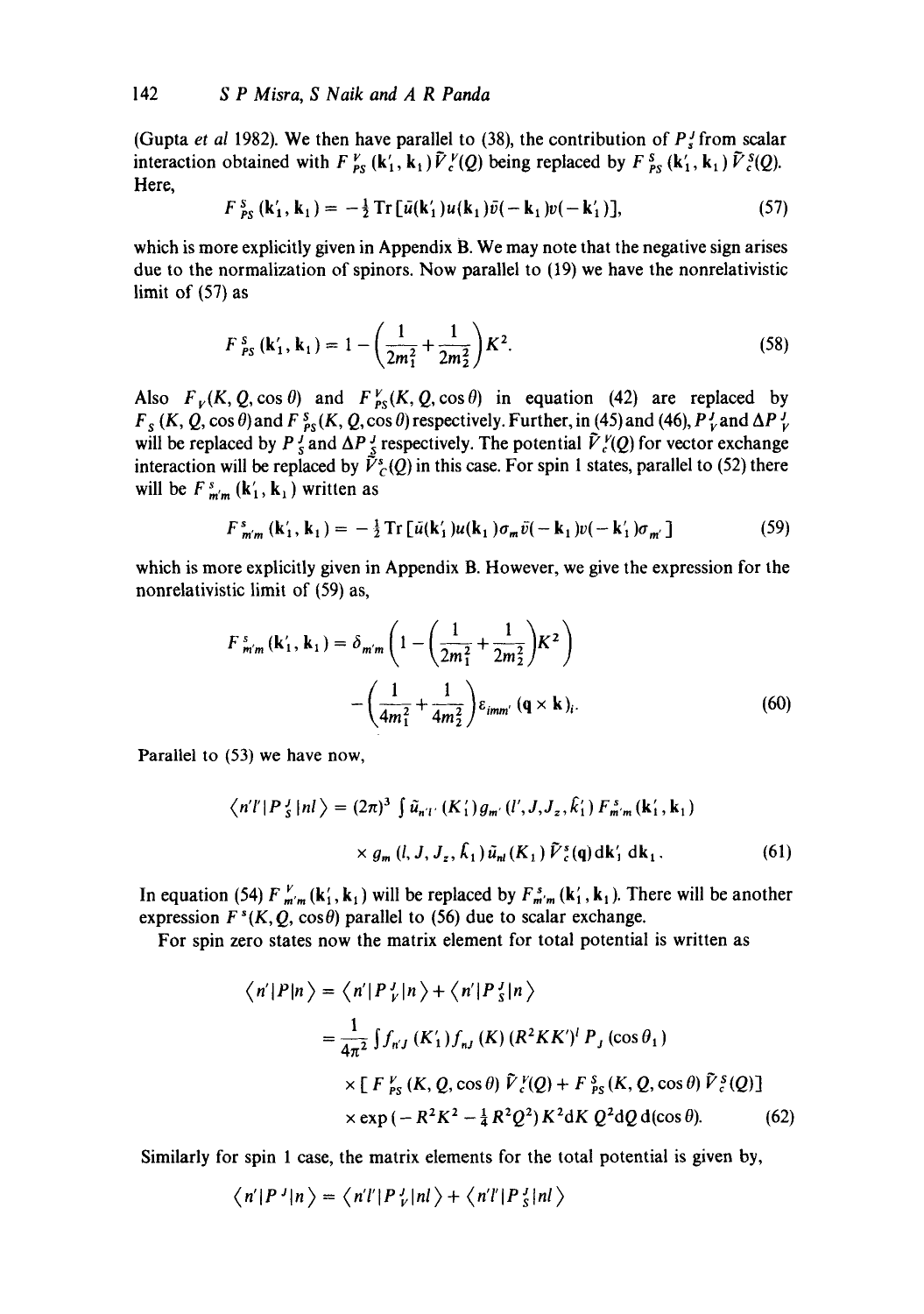(Gupta *et al* 1982). We then have parallel to (38), the contribution of  $P_s^f$  from scalar interaction obtained with  $F_{PS}^V$  (k<sub>1</sub>, k<sub>1</sub>)  $\tilde{V}_c^V(Q)$  being replaced by  $F_{PS}^S$  (k<sub>1</sub>, k<sub>1</sub>)  $\tilde{V}_c^S(Q)$ . Here,

$$
F_{PS}^{S}(\mathbf{k}'_1, \mathbf{k}_1) = -\frac{1}{2} \text{Tr} \left[ \bar{u}(\mathbf{k}'_1) u(\mathbf{k}_1) \bar{v}(-\mathbf{k}_1) v(-\mathbf{k}'_1) \right], \tag{57}
$$

which is more explicitly given in Appendix B. We may note that the negative sign arises due to the normalization of spinors. Now parallel to (19) we have the nonrelativistic limit of (57) as

$$
F_{PS}^{s}(\mathbf{k}'_1, \mathbf{k}_1) = 1 - \left(\frac{1}{2m_1^2} + \frac{1}{2m_2^2}\right)K^2.
$$
 (58)

Also  $F_V(K, Q, \cos \theta)$  and  $F_{PS}^V(K, Q, \cos \theta)$  in equation (42) are replaced by  $F_s$  (*K, Q, cos*  $\theta$ *)* and  $F_{PS}^s$ (*K, Q, cos*  $\theta$ *)* respectively. Further, in (45) and (46),  $P_V^J$  and  $\Delta P_V^J$ will be replaced by P  $_s^f$  and  $\Delta P_s^f$  respectively. The potential  $\tilde{V}_s^V(Q)$  for vector exchange interaction will be replaced by  $\tilde{V}_{c}^{s}(Q)$  in this case. For spin 1 states, parallel to (52) there will be  $F_{m'm}^s$  ( $\mathbf{k}'_1$ ,  $\mathbf{k}_1$ ) written as

$$
F_{m'm}^{s}\left(\mathbf{k}'_{1},\mathbf{k}_{1}\right)=-\tfrac{1}{2}\operatorname{Tr}\left[\bar{u}(\mathbf{k}'_{1})u(\mathbf{k}_{1})\sigma_{m}\bar{v}(-\mathbf{k}_{1})v(-\mathbf{k}'_{1})\sigma_{m'}\right]
$$
(59)

which is more explicitly given in Appendix B. However, we give the expression for the nonrelativistic limit of (59) as,

$$
F_{m'm}^{s}(\mathbf{k}'_{1}, \mathbf{k}_{1}) = \delta_{m'm} \left( 1 - \left( \frac{1}{2m_{1}^{2}} + \frac{1}{2m_{2}^{2}} \right) K^{2} \right) - \left( \frac{1}{4m_{1}^{2}} + \frac{1}{4m_{2}^{2}} \right) \epsilon_{imm'} \left( \mathbf{q} \times \mathbf{k} \right)_{i}.
$$
 (60)

Parallel to (53) we have now,

$$
\langle n'l'|P_{s}^{J}|nl\rangle = (2\pi)^{3} \int \tilde{u}_{n'l'}(K_{1}')g_{m'}(l',J,J_{z},\hat{k}_{1}') F_{m'm}^{s}(k_{1}',k_{1})
$$

$$
\times g_{m}(l,J,J_{z},\hat{k}_{1}) \tilde{u}_{nl}(K_{1}) \tilde{V}_{c}^{s}(q) dk_{1}' dk_{1}. \qquad (61)
$$

In equation (54)  $F_{m'm}^V(\mathbf{k}_1', \mathbf{k}_1)$  will be replaced by  $F_{m'm}^s(\mathbf{k}_1', \mathbf{k}_1)$ . There will be another expression  $F^s(K, Q, \cos \theta)$  parallel to (56) due to scalar exchange.

For spin zero states now the matrix element for total potential is written as

$$
\langle n'|P|n\rangle = \langle n'|P_{\nu}^J|n\rangle + \langle n'|P_{\bar{s}}^J|n\rangle
$$
  
=  $\frac{1}{4\pi^2} \int f_{nJ} (K_1') f_{nJ} (K) (R^2 K K')^l P_J (\cos \theta_1)$   
 $\times \left[ F_{PS}^V (K, Q, \cos \theta) \tilde{V}_c^V (Q) + F_{PS}^s (K, Q, \cos \theta) \tilde{V}_c^s (Q) \right]$   
 $\times \exp(-R^2 K^2 - \frac{1}{4} R^2 Q^2) K^2 dK Q^2 dQ d(\cos \theta).$  (62)

Similarly for spin 1 case, the matrix elements for the total potential is given by,

$$
\langle n'|P^J|n\rangle = \langle n'l'|P^J_V|nl\rangle + \langle n'l'|P^J_S|nl\rangle
$$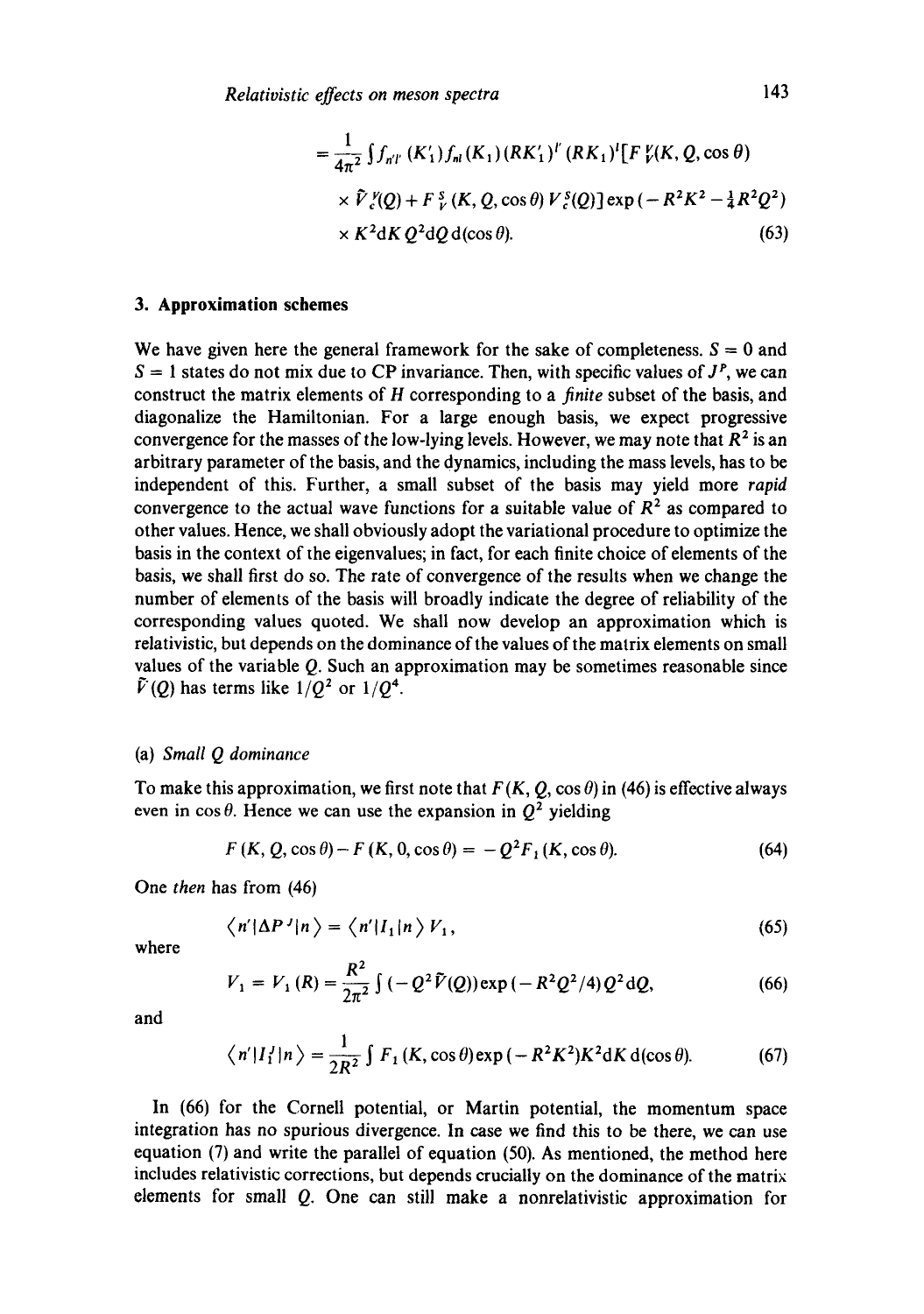$$
= \frac{1}{4\pi^2} \int f_{nT} (K_1') f_{nI} (K_1) (RK_1')^{l'} (RK_1)^{l} [F_{\nu}^{\nu}(K, Q, \cos \theta) \times \tilde{V}_{c}^{\nu}(Q) + F_{\nu}^{S} (K, Q, \cos \theta) V_{c}^{S}(Q)] \exp(-R^2 K^2 - \frac{1}{4} R^2 Q^2) \times K^2 dK Q^2 dQ d(\cos \theta).
$$
\n(63)

## **3. Approximation schemes**

We have given here the general framework for the sake of completeness.  $S = 0$  and  $S = 1$  states do not mix due to CP invariance. Then, with specific values of  $J<sup>P</sup>$ , we can construct the matrix elements of H corresponding to a *finite* subset of the basis, and diagonalize the Hamiltonian. For a large enough basis, we expect progressive convergence for the masses of the low-lying levels. However, we may note that  $R<sup>2</sup>$  is an arbitrary parameter of the basis, and the dynamics, including the mass levels, has to be independent of this. Further, a small subset of the basis may yield more *rapid*  convergence to the actual wave functions for a suitable value of  $R<sup>2</sup>$  as compared to other values. Hence, we shall obviously adopt the variational procedure to optimize the basis in the context of the eigenvalues; in fact, for each finite choice of elements of the basis, we shall first do so. The rate of convergence of the results when we change the number of elements of the basis will broadly indicate the degree of reliability of the corresponding values quoted. We shall now develop an approximation which is relativistic, but depends on the dominance of the values of the matrix elements on small values of the variable Q. Such an approximation may be sometimes reasonable since  $\tilde{V}(Q)$  has terms like  $1/Q^2$  or  $1/Q^4$ .

### (a) *Small Q dominance*

To make this approximation, we first note that  $F(K, Q, \cos \theta)$  in (46) is effective always even in  $\cos \theta$ . Hence we can use the expansion in  $Q^2$  yielding

$$
F(K, Q, \cos \theta) - F(K, 0, \cos \theta) = -Q^2 F_1(K, \cos \theta). \tag{64}
$$

One *then* has from (46)

$$
\langle n'|\Delta P^J|n\rangle = \langle n'|I_1|n\rangle V_1,\tag{65}
$$

where

$$
V_1 = V_1(R) = \frac{R^2}{2\pi^2} \int (-Q^2 \tilde{V}(Q)) \exp(-R^2 Q^2/4) Q^2 dQ,
$$
 (66)

and

$$
\langle n'|I_1'|n\rangle = \frac{1}{2R^2} \int F_1(K, \cos \theta) \exp(-R^2 K^2) K^2 dK d(\cos \theta). \tag{67}
$$

In (66) for the Cornell potential, or Martin potential, the momentum space integration has no spurious divergence. In case we find this to be there, we can use equation (7) and write the parallel of equation (50). As mentioned, the method here includes relativistic corrections, but depends crucially on the dominance of the matrix elements for small Q. One can still make a nonrelativistic approximation for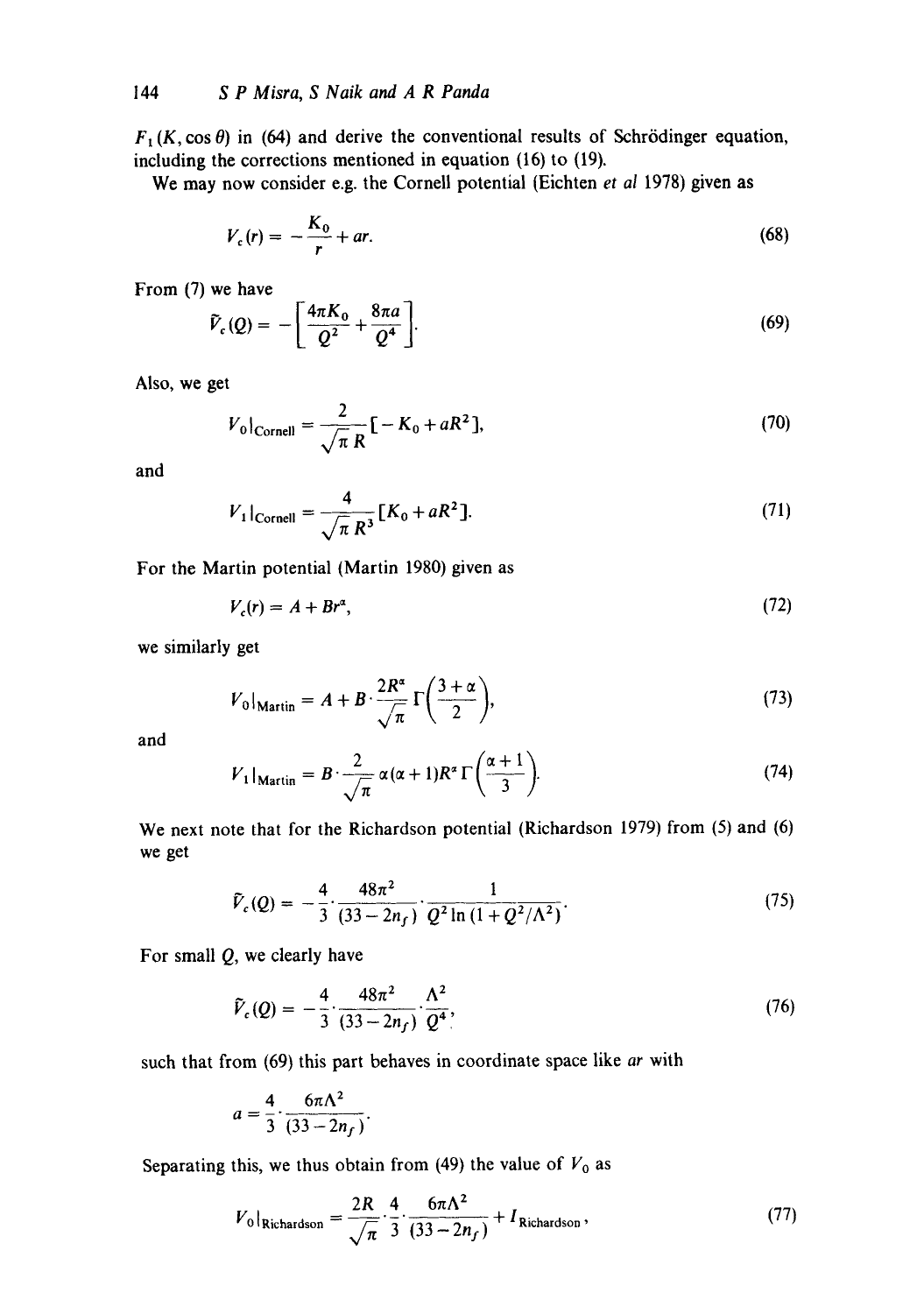$F_1(K, \cos \theta)$  in (64) and derive the conventional results of Schrödinger equation, including the corrections mentioned in equation (16) to (19).

We may now consider e.g. the Cornell potential (Eichten *et al* 1978) given as

$$
V_c(r) = -\frac{K_0}{r} + ar.\tag{68}
$$

From (7) we have

$$
\tilde{V}_c(Q) = -\left[\frac{4\pi K_0}{Q^2} + \frac{8\pi a}{Q^4}\right].
$$
\n(69)

Also, we get

$$
V_0|_{\text{Cornel}} = \frac{2}{\sqrt{\pi} R} \left[ -K_0 + aR^2 \right],\tag{70}
$$

and

$$
V_1|_{\text{Cornell}} = \frac{4}{\sqrt{\pi} R^3} [K_0 + aR^2].
$$
 (71)

For the Martin potential (Martin 1980) given as

$$
V_c(r) = A + Br^{\alpha},\tag{72}
$$

we similarly get

$$
V_0|_{\text{Martin}} = A + B \cdot \frac{2R^{\alpha}}{\sqrt{\pi}} \Gamma\left(\frac{3+\alpha}{2}\right),\tag{73}
$$

and

$$
V_1|_{\text{Martin}} = B \cdot \frac{2}{\sqrt{\pi}} \alpha (\alpha + 1) R^{\alpha} \Gamma \left( \frac{\alpha + 1}{3} \right). \tag{74}
$$

We next note that for the Richardson potential (Richardson 1979) from (5) and (6) we get

$$
\tilde{V}_c(Q) = -\frac{4}{3} \cdot \frac{48\pi^2}{(33 - 2n_f)} \cdot \frac{1}{Q^2 \ln\left(1 + Q^2/\Lambda^2\right)}.
$$
\n(75)

For small Q, we clearly have

$$
\tilde{V}_c(Q) = -\frac{4}{3} \cdot \frac{48\pi^2}{(33 - 2n_f)} \cdot \frac{\Lambda^2}{Q^4},\tag{76}
$$

such that from (69) this part behaves in coordinate space like *ar* with

$$
a=\frac{4}{3}\cdot\frac{6\pi\Lambda^2}{(33-2n_f)}.
$$

Separating this, we thus obtain from (49) the value of  $V_0$  as

$$
V_0|_{\text{Richardson}} = \frac{2R}{\sqrt{\pi}} \cdot \frac{4}{3} \cdot \frac{6\pi\Lambda^2}{(33 - 2n_f)} + I_{\text{Richardson}}\,,\tag{77}
$$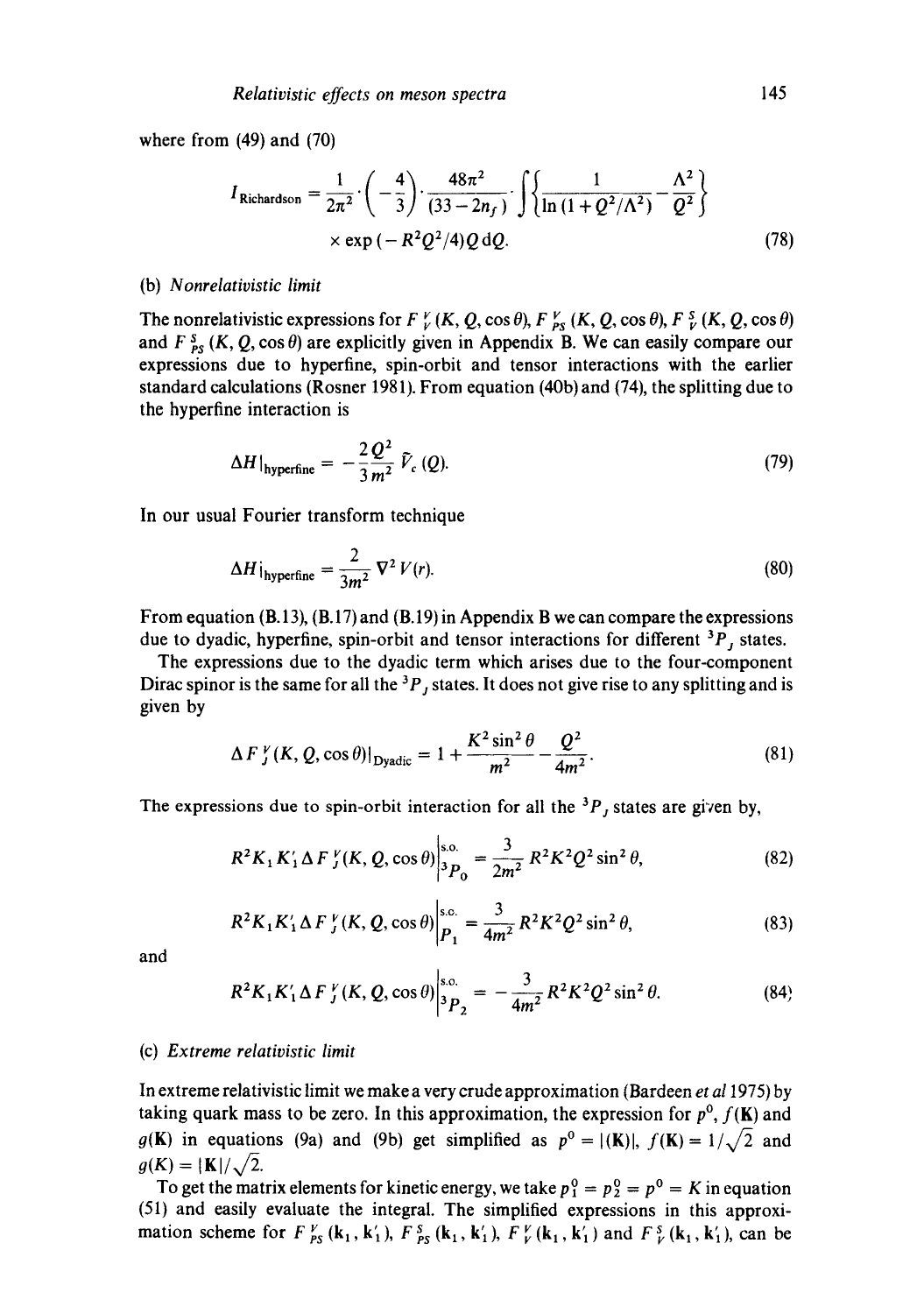where from (49) and (70)

$$
I_{\text{Richardson}} = \frac{1}{2\pi^2} \cdot \left( -\frac{4}{3} \right) \cdot \frac{48\pi^2}{(33 - 2n_f)} \cdot \int \left\{ \frac{1}{\ln \left( 1 + Q^2 / \Lambda^2 \right)} - \frac{\Lambda^2}{Q^2} \right\}
$$
  
× exp  $\left( -R^2 Q^2 / 4 \right) Q dQ$ . (78)

#### (b) *Nonrelativistic limit*

The nonrelativistic expressions for  $F_V^V(K, Q, \cos \theta)$ ,  $F_{PS}^V(K, Q, \cos \theta)$ ,  $F_V^S(K, Q, \cos \theta)$ and  $F_{PS}^S$  (K, Q, cos  $\theta$ ) are explicitly given in Appendix B. We can easily compare our expressions due to hyperfine, spin-orbit and tensor interactions with the earlier standard calculations (Rosner 1981). From equation (40b) and (74), the splitting due to the hyperfine interaction is

$$
\Delta H|_{\text{hyperfine}} = -\frac{2}{3} \frac{Q^2}{m^2} \, \tilde{V}_c \left( Q \right). \tag{79}
$$

In our usual Fourier transform technique

$$
\Delta H \, \dot{\mathbf{j}}_{\text{hyperfine}} = \frac{2}{3m^2} \, \nabla^2 \, V(r). \tag{80}
$$

From equation  $(B.13)$ ,  $(B.17)$  and  $(B.19)$  in Appendix B we can compare the expressions due to dyadic, hyperfine, spin-orbit and tensor interactions for different  ${}^{3}P$ , states.

The expressions due to the dyadic term which arises due to the four-component Dirac spinor is the same for all the  ${}^{3}P_{j}$  states. It does not give rise to any splitting and is given by

$$
\Delta F_{J}^{\nu}(K, Q, \cos \theta)|_{\text{Dyadic}} = 1 + \frac{K^{2} \sin^{2} \theta}{m^{2}} - \frac{Q^{2}}{4m^{2}}.
$$
 (81)

The expressions due to spin-orbit interaction for all the  ${}^{3}P_{J}$  states are given by,

$$
R^2 K_1 K_1' \Delta F_J^{\nu}(K, Q, \cos \theta) \bigg|_{^3P_0}^{s.o.} = \frac{3}{2m^2} R^2 K^2 Q^2 \sin^2 \theta, \tag{82}
$$

$$
R^{2}K_{1}K'_{1}\Delta F_{J}^{\nu}(K,Q,\cos\theta)\bigg|_{P_{1}}^{S_{1}C_{1}} = \frac{3}{4m^{2}}R^{2}K^{2}Q^{2}\sin^{2}\theta,
$$
 (83)

and

$$
R^{2}K_{1}K'_{1}\Delta F_{J}^{\nu}(K,Q,\cos\theta)\Big|_{3P_{2}}^{s.o.}=-\frac{3}{4m^{2}}R^{2}K^{2}Q^{2}\sin^{2}\theta.
$$
 (84)

#### (c) *Extreme relativistic limit*

In extreme relativistic limit we make a very crude approximation (Bardeen *et a11975)* by taking quark mass to be zero. In this approximation, the expression for  $p^0$ ,  $f(K)$  and  $g(K)$  in equations (9a) and (9b) get simplified as  $p^0 = |(K)|$ ,  $f(K) = 1/\sqrt{2}$  and  $g(K) = |K|/\sqrt{2}.$ 

To get the matrix elements for kinetic energy, we take  $p_1^0 = p_2^0 = p^0 = K$  in equation (51) and easily evaluate the integral. The simplified expressions in this approximation scheme for  $F_{PS}^V(\mathbf{k}_1, \mathbf{k}'_1)$ ,  $F_{PS}^S(\mathbf{k}_1, \mathbf{k}'_1)$ ,  $F_V^V(\mathbf{k}_1, \mathbf{k}'_1)$  and  $F_V^S(\mathbf{k}_1, \mathbf{k}'_1)$ , can be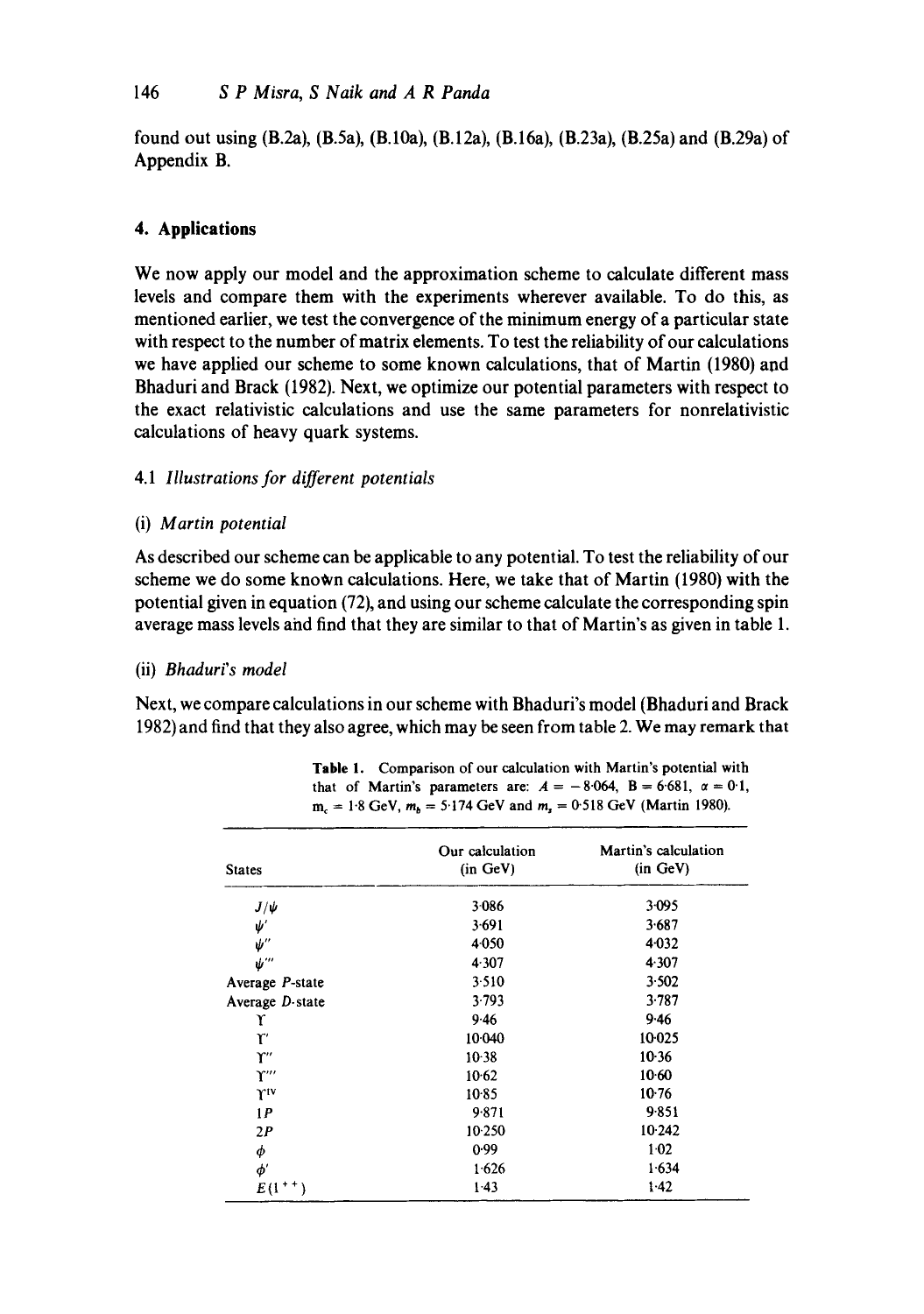found out using (B.2a), (B.5a), (B.10a), (B.12a), (B.16a), (B.23a), (B.25a) and (B.29a) of Appendix B.

# **4. Applications**

We now apply our model and the approximation scheme to calculate different mass levels and compare them with the experiments wherever available. To do this, as mentioned earlier, we test the convergence of the minimum energy of a particular state with respect to the number of matrix elements. To test the reliability of our calculations we have applied our scheme to some known calculations, that of Martin (1980) and Bhaduri and Brack (1982). Next, we optimize our potential parameters with respect to the exact relativistic calculations and use the same parameters for nonrelativistic calculations of heavy quark systems.

# *4.1 Illustrations for different potentials*

# (i) *Martin potential*

As described our scheme can be applicable to any potential. To test the reliability of our scheme we do some known calculations. Here, we take that of Martin (1980) with the potential given in equation (72), and using our scheme calculate the corresponding spin average mass levels aiad find that they are similar to that of Martin's as given in table 1.

## (ii) *Bhaduri's* model

Next, we compare calculations in our scheme with Bhaduri's model (Bhaduri and Brack 1982) and find that they also agree, which may be seen from table 2. We may remark that

| <b>States</b>               | Our calculation<br>(in GeV) | Martin's calculation<br>(in GeV) |  |
|-----------------------------|-----------------------------|----------------------------------|--|
| $J/\psi$                    | 3.086                       | $3 - 095$                        |  |
| $\psi'$                     | 3.691                       | 3.687                            |  |
| $\pmb{\psi}^{\prime\prime}$ | 4.050                       | 4.032                            |  |
| ψ‴                          | 4.307                       | 4.307                            |  |
| Average P-state             | 3.510                       | 3.502                            |  |
| Average $D$ state           | 3.793                       | 3.787                            |  |
| r                           | 9.46                        | 9.46                             |  |
| r                           | 10.040                      | 10.025                           |  |
| Υ"                          | $10-38$                     | $10-36$                          |  |
| $\Upsilon'''$               | 10.62                       | $10-60$                          |  |
| riv                         | $10-85$                     | $10-76$                          |  |
| 1P                          | 9.871                       | 9.851                            |  |
| 2P                          | 10.250                      | 10.242                           |  |
| φ                           | 0.99                        | 1.02                             |  |
| $\phi'$                     | 1.626                       | 1.634                            |  |
| $E(1^{++})$                 | $1-43$                      | $1-42$                           |  |

**Table** 1. Comparison of our calculation with Martin's potential with that of Martin's parameters are:  $A = -8.064$ ,  $B = 6.681$ ,  $\alpha = 0.1$ ,  $m_c = 1.8$  GeV,  $m_b = 5.174$  GeV and  $m_s = 0.518$  GeV (Martin 1980).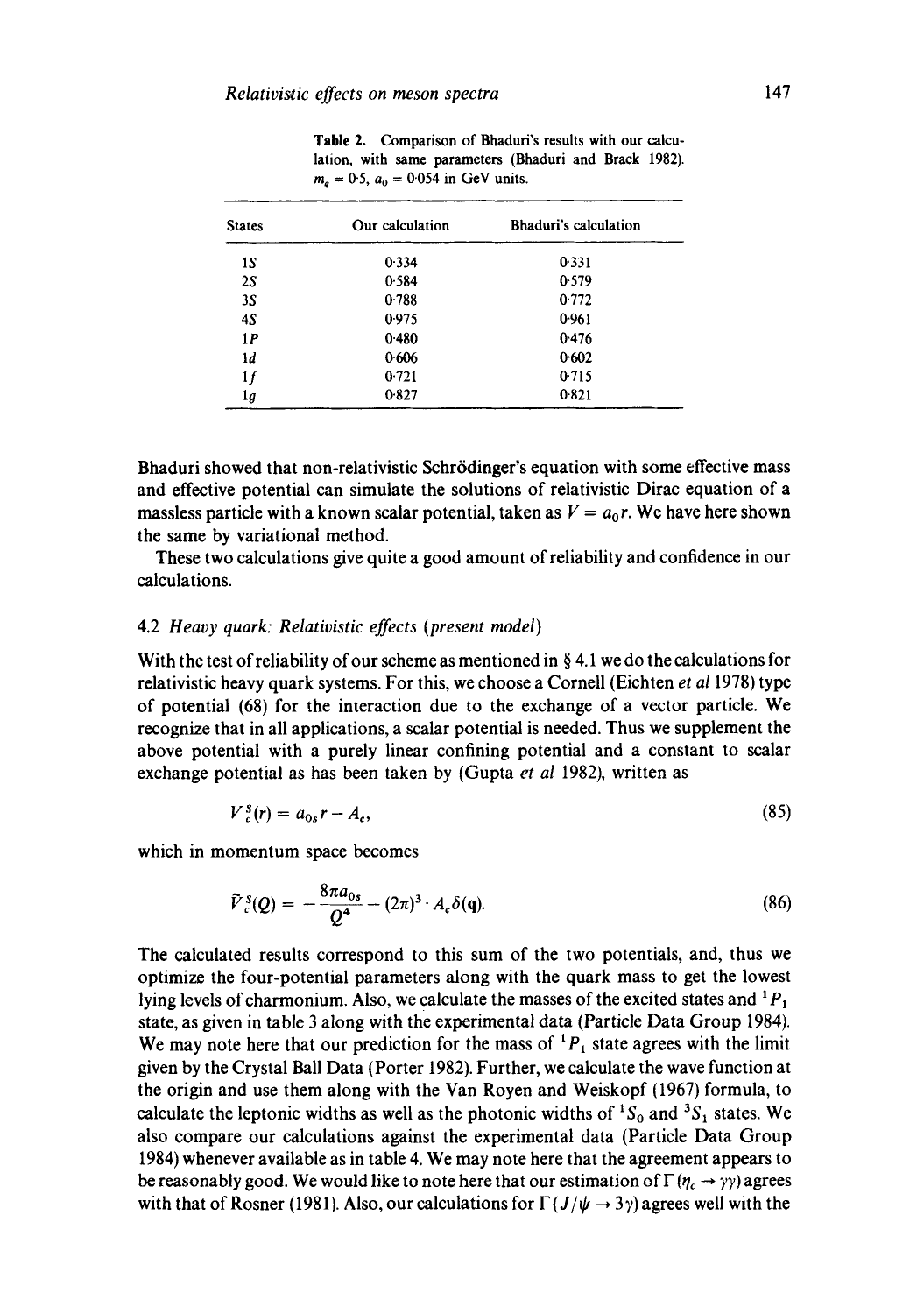**Table** 2. Comparison of Bhaduri's results with our calculation, with same parameters (Bhaduri and Brack 1982).  $m_a = 0.5$ ,  $a_0 = 0.054$  in GeV units.

| <b>States</b> | Our calculation | Bhaduri's calculation |  |
|---------------|-----------------|-----------------------|--|
| 15            | 0.334           | 0.331                 |  |
| 2S            | 0.584           | 0.579                 |  |
| 3S            | 0.788           | 0.772                 |  |
| 4S            | 0.975           | 0.961                 |  |
| 1P            | 0.480           | 0.476                 |  |
| ١d            | 0.606           | 0.602                 |  |
| 1f            | 0.721           | 0.715                 |  |
| lg            | 0.827           | 0.821                 |  |
|               |                 |                       |  |

Bhaduri showed that non-relativistic Schrödinger's equation with some effective mass and effective potential can simulate the solutions of relativistic Dirac equation of a massless particle with a known scalar potential, taken as  $V = a_0 r$ . We have here shown the same by variational method.

These two calculations give quite a good amount of reliability and confidence in our calculations.

### 4.2 *Heavy quark: Relativistic effects (present model)*

With the test of reliability of our scheme as mentioned in  $\S$  4.1 we do the calculations for relativistic heavy quark systems. For this, we choose a Cornell (Eichten *et al* 1978) type of potential (68) for the interaction due to the exchange of a vector particle. We recognize that in all applications, a scalar potential is needed. Thus we supplement the above potential with a purely linear confining potential and a constant to scalar exchange potential as has been taken by (Gupta *et al* 1982), written as

$$
V_c^s(r) = a_{0s}r - A_c,\tag{85}
$$

which in momentum space becomes

$$
\tilde{V}_c^s(Q) = -\frac{8\pi a_{0s}}{Q^4} - (2\pi)^3 \cdot A_c \delta(q). \tag{86}
$$

The calculated results correspond to this sum of the two potentials, and, thus we optimize the four-potential parameters along with the quark mass to get the lowest lying levels of charmonium. Also, we calculate the masses of the excited states and  ${}^{1}P_{1}$ state, as given in table 3 along with the experimental data (Particle Data Group 1984). We may note here that our prediction for the mass of  ${}^{1}P_{1}$  state agrees with the limit given by the Crystal Ball Data (Porter 1982). Further, we calculate the wave function at the origin and use them along with the Van Royen and Weiskopf (1967) formula, to calculate the leptonic widths as well as the photonic widths of  ${}^{1}S_{0}$  and  ${}^{3}S_{1}$  states. We also compare our calculations against the experimental data (Particle Data Group 1984) whenever available as in table 4. We may note here that the agreement appears to be reasonably good. We would like to note here that our estimation of  $\Gamma(\eta_c \rightarrow \gamma \gamma)$  agrees with that of Rosner (1981). Also, our calculations for  $\Gamma(J/\psi \rightarrow 3\gamma)$  agrees well with the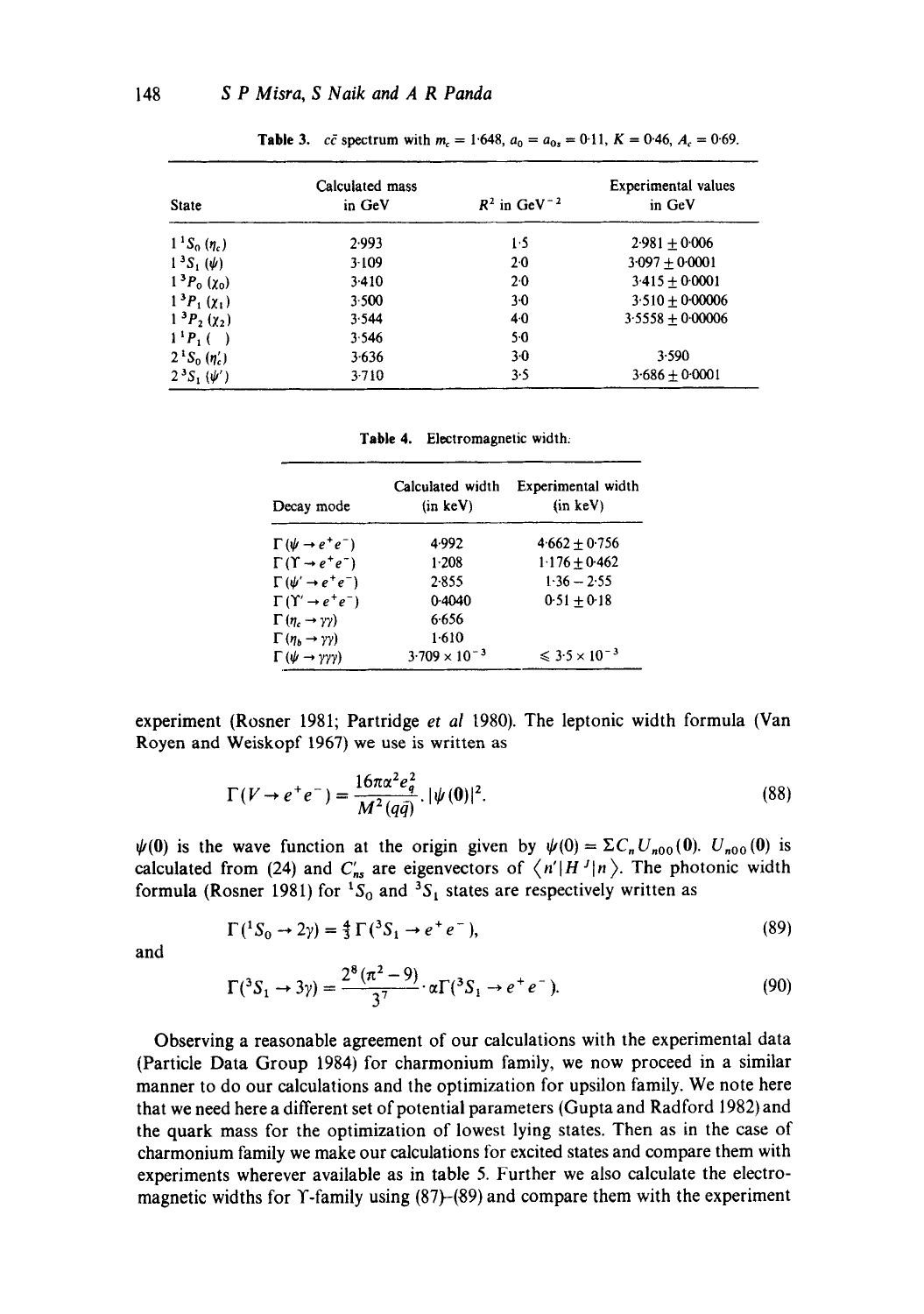| <b>State</b>            | Calculated mass<br>in GeV | $R^2$ in GeV <sup>-2</sup> | <b>Experimental values</b><br>in GeV |  |
|-------------------------|---------------------------|----------------------------|--------------------------------------|--|
| $1^{1}S_{0}(\eta_{c})$  | 2.993                     | 1.5                        | $2.981 + 0.006$                      |  |
| $1^3S_1(\psi)$          | 3.109                     | $2-0$                      | $3.097 + 0.0001$                     |  |
| $1^{3}P_{0}(\chi_{0})$  | 3.410                     | $2-0$                      | $3.415 + 0.0001$                     |  |
| $1^{3}P_{1}(\chi_{1})$  | 3.500                     | $3-0$                      | $3.510 \pm 0.00006$                  |  |
| $1^{3}P_{2}(\chi_{2})$  | 3.544                     | 40                         | $3.5558 + 0.00006$                   |  |
| $1^{1}P_{1}$ ( )        | 3.546                     | $5-0$                      |                                      |  |
| $2^{1}S_{0}(\eta_{c}')$ | 3.636                     | $3-0$                      | 3.590                                |  |
| $2^{3}S_{1}(\psi')$     | 3.710                     | 3.5                        | $3.686 + 0.0001$                     |  |

**Table 3.** *cc* spectrum with  $m_c = 1.648$ ,  $a_0 = a_{0s} = 0.11$ ,  $K = 0.46$ ,  $A_c = 0.69$ .

Table 4. Electromagnetic width:

| Decay mode                                 | Calculated width<br>(in keV) | Experimental width<br>(in keV) |
|--------------------------------------------|------------------------------|--------------------------------|
| $\Gamma(\psi \rightarrow e^+e^-)$          | 4.992                        | $4.662 + 0.756$                |
| $\Gamma(\Upsilon \rightarrow e^+e^-)$      | $1-208$                      | $1.176 + 0.462$                |
| $\Gamma(\psi' \rightarrow e^+e^-)$         | 2.855                        | $1.36 - 2.55$                  |
| $\Gamma(\Upsilon \rightarrow e^+e^-)$      | 0.4040                       | $0.51 + 0.18$                  |
| $\Gamma$ (n <sub>c</sub> $\rightarrow$ yy) | 6.656                        |                                |
| $\Gamma(n_h \rightarrow \gamma \gamma)$    | 1.610                        |                                |
| $\Gamma(\psi \to \gamma \gamma \gamma)$    | $3.709 \times 10^{-3}$       | $\leq 3.5 \times 10^{-3}$      |

experiment (Rosner 1981; Partridge *et al* 1980). The leptonic width formula (Van Royen and Weiskopf 1967) we use is written as

$$
\Gamma(V \to e^+e^-) = \frac{16\pi\alpha^2 e_q^2}{M^2(q\bar{q})} \cdot |\psi(0)|^2.
$$
 (88)

 $\psi(0)$  is the wave function at the origin given by  $\psi(0) = \Sigma C_n U_{n00}(0)$ .  $U_{n00}(0)$  is calculated from (24) and  $C'_{ms}$  are eigenvectors of  $\langle n'|H^J|n\rangle$ . The photonic width formula (Rosner 1981) for  ${}^{1}S_{0}$  and  ${}^{3}S_{1}$  states are respectively written as

$$
\Gamma(^{1}S_{0} \to 2\gamma) = \frac{4}{3}\Gamma(^{3}S_{1} \to e^{+}e^{-}), \qquad (89)
$$

and

$$
\Gamma({}^3S_1 \to 3\gamma) = \frac{2^8(\pi^2 - 9)}{3^7} \cdot \alpha \Gamma({}^3S_1 \to e^+e^-). \tag{90}
$$

Observing a reasonable agreement of our calculations with the experimental data (Particle Data Group 1984) for charmonium family, we now proceed in a similar manner to do our calculations and the optimization for upsilon family. We note here that we need here a different set of potential parameters (Gupta and Radford 1982) and the quark mass for the optimization of lowest lying states. Then as in the case of charmonium family we make our calculations for excited states and compare them with experiments wherever available as in table 5. Further we also calculate the electromagnetic widths for  $\Upsilon$ -family using (87)–(89) and compare them with the experiment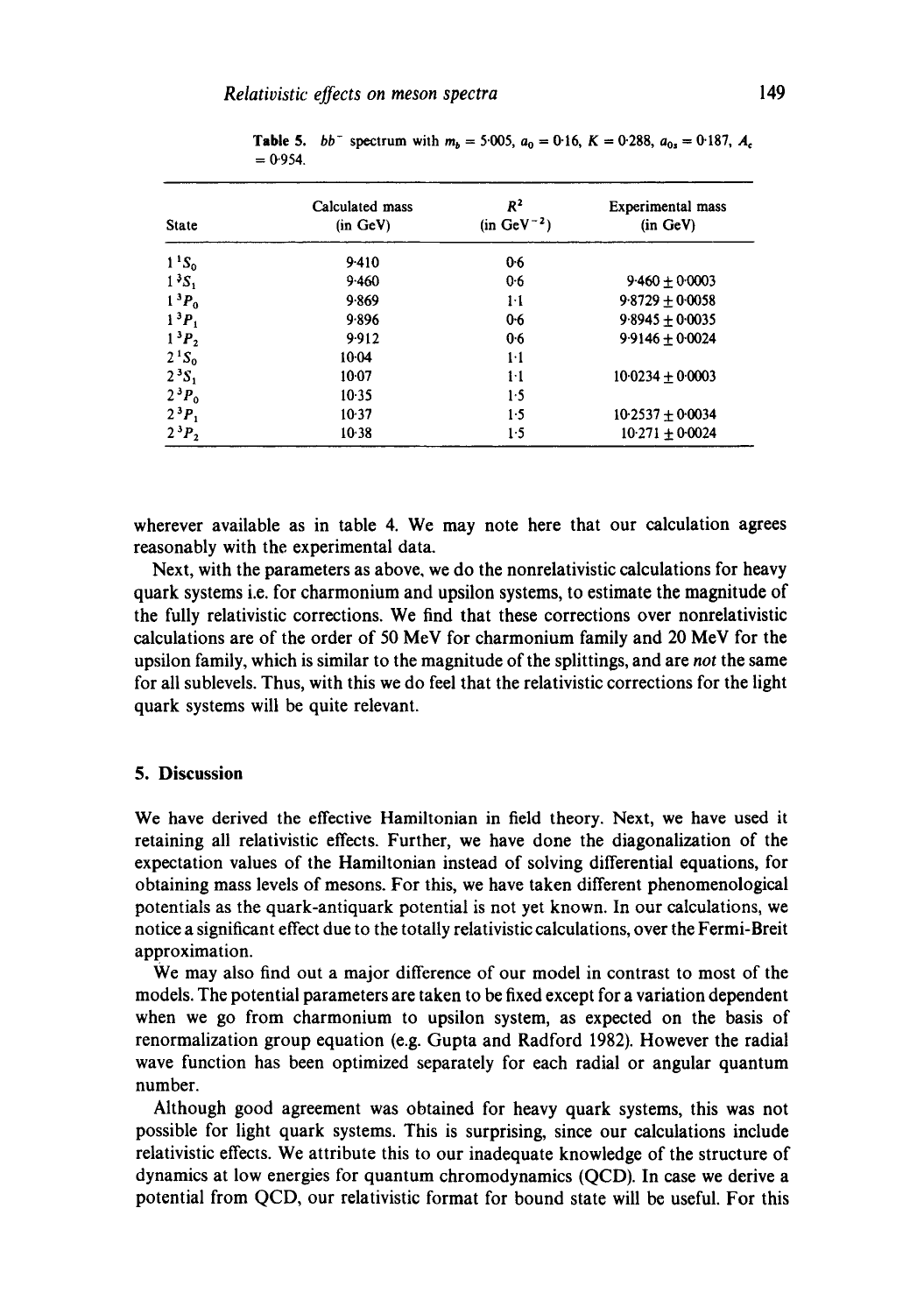| <b>State</b>                  | Calculated mass<br>(in GeV) | $R^2$<br>$(in GeV^{-2})$ | <b>Experimental</b> mass<br>(in GeV) |
|-------------------------------|-----------------------------|--------------------------|--------------------------------------|
| $1^{1}S_{0}$                  | 9.410                       | 0.6                      |                                      |
| $13S_1$                       | 9.460                       | 0.6                      | $9.460 + 0.0003$                     |
| 1 <sup>3</sup> P <sub>0</sub> | 9.869                       | $1-1$                    | $9.8729 + 0.0058$                    |
| $1^{3}P_{1}$                  | 9.896                       | 0.6                      | $9.8945 + 0.0035$                    |
| $1^3P_2$                      | 9.912                       | 0.6                      | $9.9146 + 0.0024$                    |
| $2^{1}S_{0}$                  | $10-04$                     | $1-1$                    |                                      |
| 2 <sup>3</sup> S <sub>1</sub> | $10-07$                     | $1-1$                    | $10.0234 + 0.0003$                   |
| $2^3P_0$                      | 10.35                       | 1.5                      |                                      |
| $2^3P_1$                      | $10-37$                     | 1.5                      | $10:2537 + 0:0034$                   |
| $2^3P_2$                      | $10-38$                     | 1.5                      | $10.271 + 0.0024$                    |

**Table 5.** *bb* spectrum with  $m_b = 5.005$ ,  $a_0 = 0.16$ ,  $K = 0.288$ ,  $a_{0s} = 0.187$ ,  $A_c$  $= 0.954.$ 

wherever available as in table 4. We may note here that our calculation agrees reasonably with the experimental data.

Next, with the parameters as above, we do the nonrelativistic calculations for heavy quark systems i.e. for charmonium and upsilon systems, to estimate the magnitude of the fully relativistic corrections. We find that these corrections over nonrelativistic calculations are of the order of 50 MeV for charmonium family and 20 MeV for the upsilon family, which is similar to the magnitude of the splittings, and are *not* the same for all sublevels. Thus, with this we do feel that the relativistic corrections for the light quark systems will be quite relevant.

## **5. Discussion**

We have derived the effective Hamiltonian in field theory. Next, we have used it retaining all relativistic effects. Further, we have done the diagonalization of the expectation values of the Hamiltonian instead of solving differential equations, for obtaining mass levels of mesons. For this, we have taken different phenomenological potentials as the quark-antiquark potential is not yet known. In our calculations, we notice a significant effect due to the totally relativistic calculations, over the Fermi-Breit approximation.

We may also find out a major difference of our model in contrast to most of the models. The potential parameters are taken to be fixed except for a variation dependent when we go from charmonium to upsilon system, as expected on the basis of renormalization group equation (e.g. Gupta and Radford 1982). However the radial wave function has been optimized separately for each radial or angular quantum number.

Although good agreement was obtained for heavy quark systems, this was not possible for light quark systems. This is surprising, since our calculations include relativistic effects. We attribute this to our inadequate knowledge of the structure of dynamics at low energies for quantum chromodynamics (QCD). In case we derive a potential from QCD, our relativistic format for bound state will be useful. For this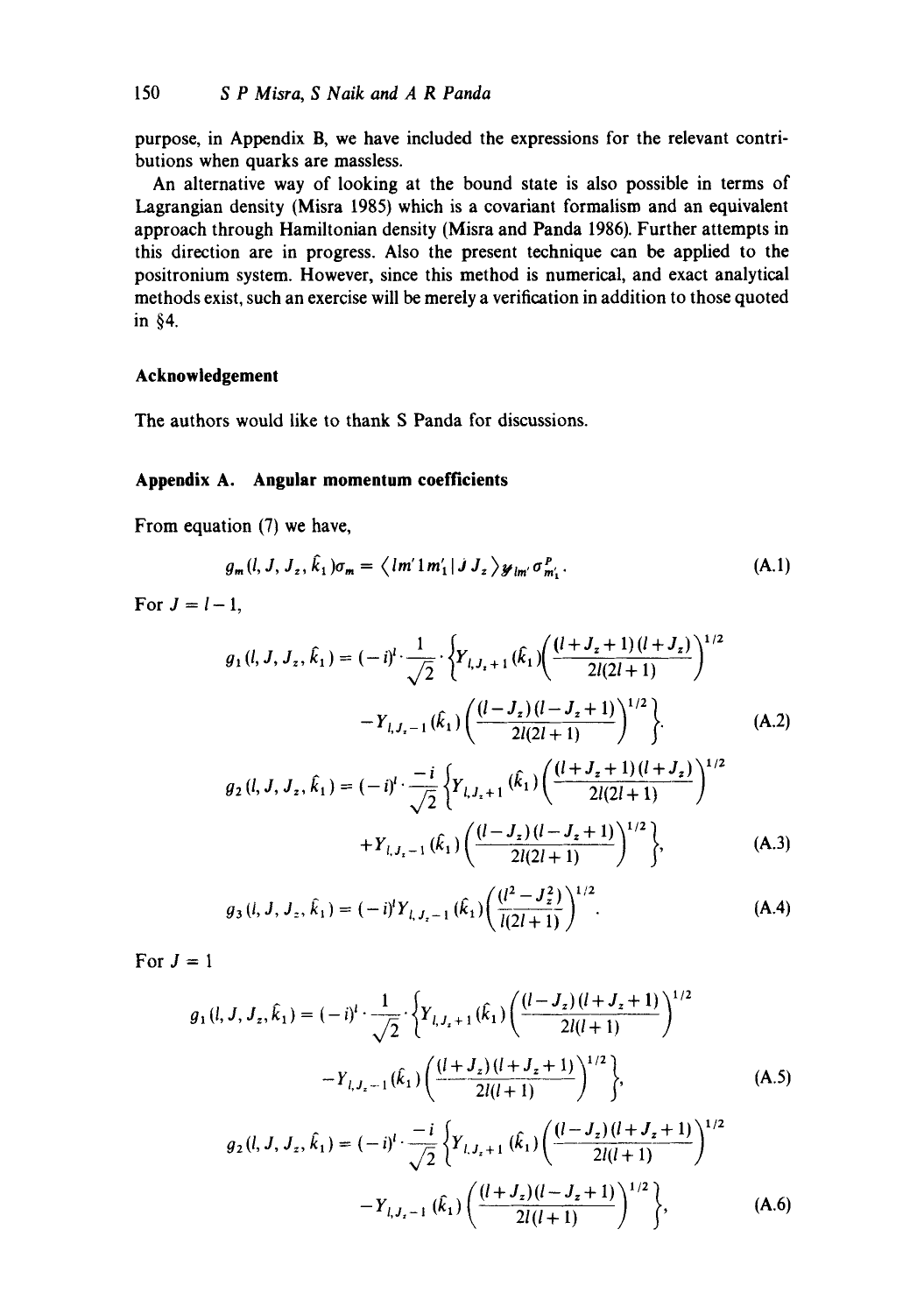purpose, in Appendix B, we have included the expressions for the relevant contributions when quarks are massless.

An alternative way of looking at the bound state is also possible in terms of Lagrangian density (Misra 1985) which is a covariant formalism and an equivalent approach through Hamiltonian density (Misra and Panda 1986). Further attempts in this direction are in progress. Also the present technique can be applied to the positronium system. However, since this method is numerical, and exact analytical methods exist, such an exercise will be merely a verification in addition to those quoted in §4.

# **Acknowledgement**

The authors would like to thank S Panda for discussions.

## **Appendix A. Angular momentum coefficients**

From equation (7) we have,

$$
g_m(l, J, J_z, \hat{k}_1)\sigma_m = \langle lm'1m'_1|JJ_z\rangle \mathcal{Y}_{lm'}\sigma_{m'_1}^P.
$$
 (A.1)

For  $J = l-1$ ,

$$
g_1(l, J, J_z, \hat{k}_1) = (-i)^l \cdot \frac{1}{\sqrt{2}} \cdot \left\{ Y_{l, J_z + 1}(\hat{k}_1) \left( \frac{(l + J_z + 1)(l + J_z)}{2l(2l + 1)} \right)^{1/2} - Y_{l, J_z - 1}(\hat{k}_1) \left( \frac{(l - J_z)(l - J_z + 1)}{2l(2l + 1)} \right)^{1/2} \right\}.
$$
 (A.2)

$$
g_2(l, J, J_z, \hat{k}_1) = (-i)^l \cdot \frac{-i}{\sqrt{2}} \left\{ Y_{l, J_z + 1}(\hat{k}_1) \left( \frac{(l + J_z + 1)(l + J_z)}{2l(2l + 1)} \right)^{1/2} + Y_{l, J_z - 1}(\hat{k}_1) \left( \frac{(l - J_z)(l - J_z + 1)}{2l(2l + 1)} \right)^{1/2} \right\},
$$
(A.3)

$$
g_3(i, J, J_z, \hat{k}_1) = (-i)^l Y_{i, J_z - 1}(\hat{k}_1) \left( \frac{(l^2 - J_z^2)}{l(2l + 1)} \right)^{1/2}.
$$
 (A.4)

For  $J = 1$ 

$$
g_1(l, J, J_z, \hat{k}_1) = (-i)^l \cdot \frac{1}{\sqrt{2}} \cdot \left\{ Y_{l, J_z + 1}(\hat{k}_1) \left( \frac{(l - J_z)(l + J_z + 1)}{2l(l + 1)} \right)^{1/2} - Y_{l, J_z - 1}(\hat{k}_1) \left( \frac{(l + J_z)(l + J_z + 1)}{2l(l + 1)} \right)^{1/2} \right\},
$$
(A.5)

$$
g_2(l, J, J_z, \hat{k}_1) = (-i)^l \cdot \frac{-i}{\sqrt{2}} \left\{ Y_{l, J_z + 1} (\hat{k}_1) \left( \frac{(l - J_z)(l + J_z + 1)}{2l(l + 1)} \right)^{1/2} - Y_{l, J_z - 1} (\hat{k}_1) \left( \frac{(l + J_z)(l - J_z + 1)}{2l(l + 1)} \right)^{1/2} \right\},
$$
(A.6)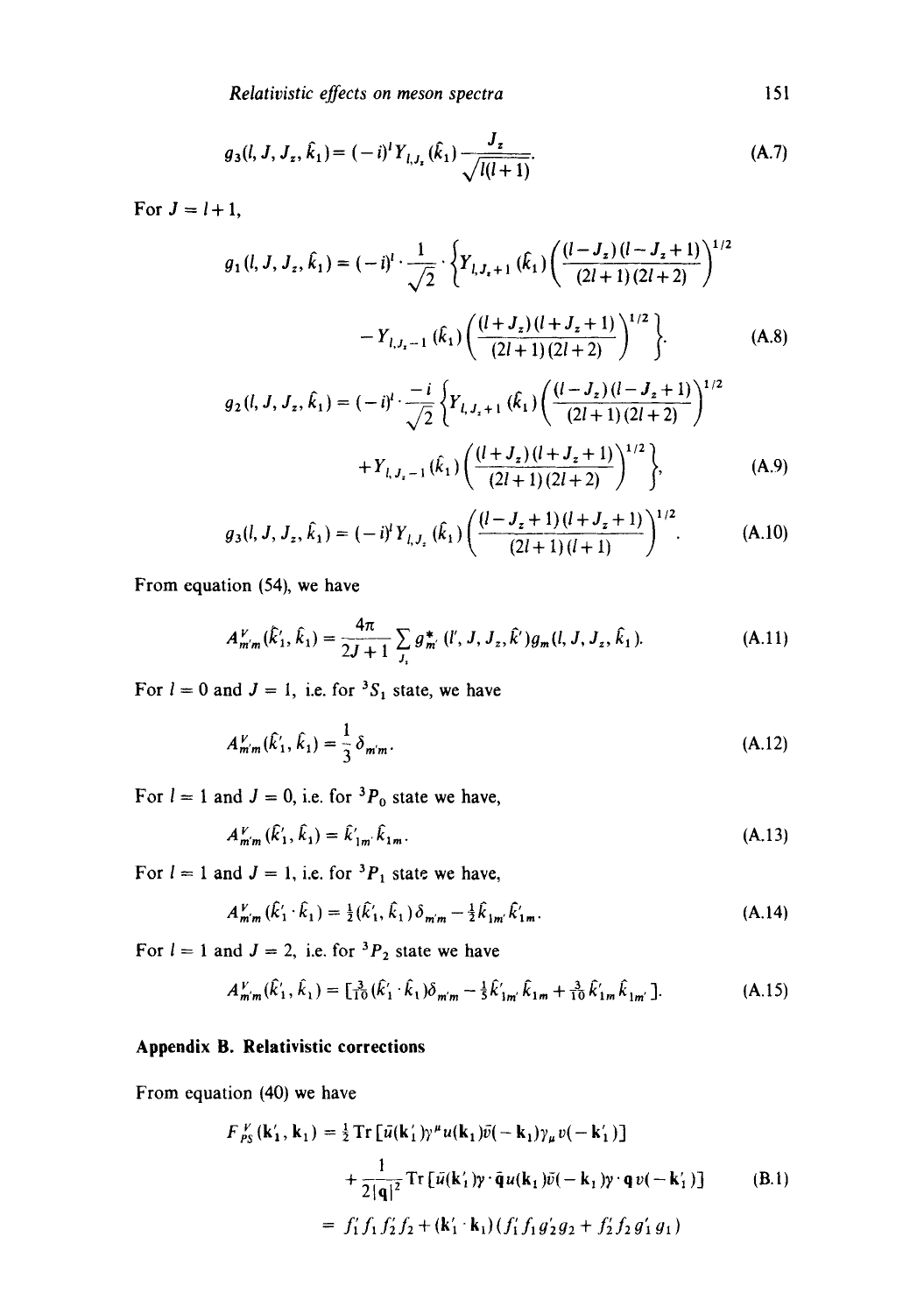*Relativistic effects on meson spectra* 151

$$
g_3(l, J, J_z, \hat{k}_1) = (-i)^l Y_{l, J_z}(\hat{k}_1) \frac{J_z}{\sqrt{l(l+1)}}.
$$
 (A.7)

For  $J = l + 1$ ,

$$
g_1(l, J, J_z, \hat{k}_1) = (-i)^l \cdot \frac{1}{\sqrt{2}} \cdot \left\{ Y_{l, J_z + 1}(\hat{k}_1) \left( \frac{(l - J_z)(l - J_z + 1)}{(2l + 1)(2l + 2)} \right)^{1/2} - Y_{l, J_z - 1}(\hat{k}_1) \left( \frac{(l + J_z)(l + J_z + 1)}{(2l + 1)(2l + 2)} \right)^{1/2} \right\}.
$$
 (A.8)

$$
g_2(l, J, J_z, \hat{k}_1) = (-i)^l \cdot \frac{-i}{\sqrt{2}} \left\{ Y_{l, J_z + 1}(\hat{k}_1) \left( \frac{(l - J_z)(l - J_z + 1)}{(2l + 1)(2l + 2)} \right)^{1/2} + Y_{l, J_z - 1}(\hat{k}_1) \left( \frac{(l + J_z)(l + J_z + 1)}{(2l + 1)(2l + 2)} \right)^{1/2} \right\},
$$
(A.9)

$$
g_3(l, J, J_z, \hat{k}_1) = (-i)^l Y_{l, J_z}(\hat{k}_1) \left( \frac{(l - J_z + 1)(l + J_z + 1)}{(2l + 1)(l + 1)} \right)^{1/2}.
$$
 (A.10)

From equation (54), we have

$$
A_{m'm}^V(\hat{k}'_1, \hat{k}_1) = \frac{4\pi}{2J+1} \sum_{J_z} g_{m'}^* (l', J, J_z, \hat{k}') g_m(l, J, J_z, \hat{k}_1).
$$
 (A.11)

For  $l = 0$  and  $J = 1$ , i.e. for <sup>3</sup>S<sub>1</sub> state, we have

$$
A_{m'm}^V(\hat{k}_1', \hat{k}_1) = \frac{1}{3} \delta_{m'm}.
$$
 (A.12)

For  $l = 1$  and  $J = 0$ , i.e. for  ${}^{3}P_{0}$  state we have,

$$
A_{m'm}^V(\hat{k}'_1, \hat{k}_1) = \hat{k}'_{1m'} \hat{k}_{1m}.
$$
\n(A.13)

For  $l = 1$  and  $J = 1$ , i.e. for <sup>3</sup> $P_1$  state we have,

$$
A''_{m'm}(\hat{k}'_1 \cdot \hat{k}_1) = \frac{1}{2}(\hat{k}'_1, \hat{k}_1) \delta_{m'm} - \frac{1}{2} \hat{k}_{1m'} \hat{k}'_{1m}.
$$
 (A.14)

For  $l = 1$  and  $J = 2$ , i.e. for  ${}^{3}P_2$  state we have

$$
A_{m'm}^V(\hat{k}_1', \hat{k}_1) = \left[\frac{3}{10}(\hat{k}_1' \cdot \hat{k}_1)\delta_{m'm} - \frac{1}{5}\hat{k}_{1m}'\hat{k}_{1m} + \frac{3}{10}\hat{k}_{1m}'\hat{k}_{1m'}\right].
$$
 (A.15)

# **Appendix B. Relativistic corrections**

From equation (40) we have

$$
F_{PS}^{V}(\mathbf{k}'_{1}, \mathbf{k}_{1}) = \frac{1}{2} \text{Tr} \left[ \bar{u}(\mathbf{k}'_{1}) \gamma^{\mu} u(\mathbf{k}_{1}) \bar{v}(-\mathbf{k}_{1}) \gamma_{\mu} v(-\mathbf{k}'_{1}) \right] + \frac{1}{2|\mathbf{q}|^{2}} \text{Tr} \left[ \bar{u}(\mathbf{k}'_{1}) \gamma \cdot \bar{\mathbf{q}} u(\mathbf{k}_{1}) \bar{v}(-\mathbf{k}_{1}) \gamma \cdot \mathbf{q} v(-\mathbf{k}'_{1}) \right] \qquad (B.1) = f'_{1} f_{1} f'_{2} f_{2} + (\mathbf{k}'_{1} \cdot \mathbf{k}_{1}) \left( f'_{1} f_{1} g'_{2} g_{2} + f'_{2} f_{2} g'_{1} g_{1} \right)
$$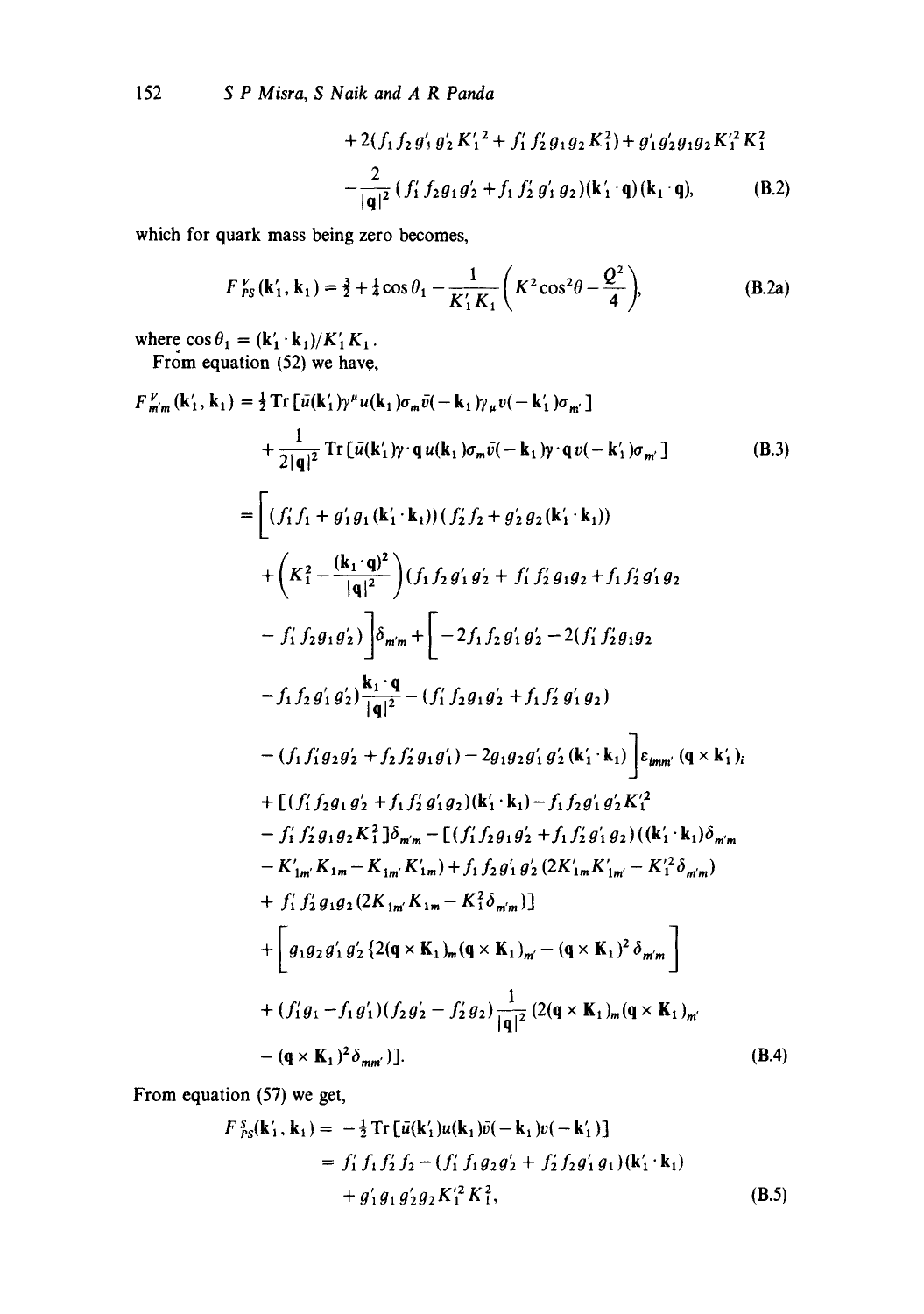152 *S P Misra, S Naik and A R Panda* 

*t 2 ~ ~ t2 2 + 2(f, fzg'~ 0'2 K'~ 2 + f~ f~g, g2 K,)+ g~g2g,g2K, K,*  (B.2) 2 ]q]2 *( f~ f2gxg~ + f~ f~ g'~* g2)(k~ .q)(k~-q),

which for quark mass being zero becomes,

$$
F_{PS}^{V}(\mathbf{k}'_1, \mathbf{k}_1) = \frac{3}{2} + \frac{1}{4}\cos\theta_1 - \frac{1}{K'_1K_1}\left(K^2\cos^2\theta - \frac{Q^2}{4}\right),
$$
 (B.2a)

where  $\cos \theta_1 = (\mathbf{k}'_1 \cdot \mathbf{k}_1)/K'_1 K_1$ . From equation (52) we have,

$$
F_{m'm}^{V}(k'_{1}, k_{1}) = \frac{1}{2} \text{Tr} \left[ \bar{u}(k'_{1}) \gamma^{\mu} u(k_{1}) \sigma_{m} \bar{v}(-k_{1}) \gamma_{\mu} v(-k'_{1}) \sigma_{m'} \right] + \frac{1}{2|q|^{2}} \text{Tr} \left[ \bar{u}(k'_{1}) \gamma^{\mu} q u(k_{1}) \sigma_{m} \bar{v}(-k_{1}) \gamma^{\mu} q v(-k'_{1}) \sigma_{m'} \right] \qquad (B.3) = \left[ (f'_{1} f_{1} + g'_{1} g_{1}(k'_{1} \cdot k_{1})) (f'_{2} f_{2} + g'_{2} g_{2}(k'_{1} \cdot k_{1})) \right] + \left( K_{1}^{2} - \frac{(k_{1} \cdot q)^{2}}{|q|^{2}} \right) (f_{1} f_{2} g'_{1} g'_{2} + f_{1} f'_{2} g_{1} g_{2} + f_{1} f'_{2} g'_{1} g_{2} \right. - f'_{1} f_{2} g_{1} g'_{2} \right) \left[ \delta_{m'm} + \left[ -2 f_{1} f_{2} g'_{1} g'_{2} - 2(f'_{1} f'_{2} g_{1} g_{2} \right. - f_{1} f_{2} g'_{1} g'_{2} \right) \frac{k_{1} \cdot q}{|q|^{2}} - (f'_{1} f_{2} g_{1} g'_{2} + f_{1} f'_{2} g'_{1} g_{2}) - (f_{1} f'_{1} g_{2} g'_{2} + f_{2} f'_{2} g_{1} g'_{1}) - 2 g_{1} g_{2} g'_{1} g'_{2} (k'_{1} \cdot k_{1}) \right] \varepsilon_{imm'} (q \times k'_{1})_{i} + \left[ (f'_{1} f_{2} g_{1} g_{2} + f_{1} f'_{2} g'_{1} g_{2}) (k'_{1} \cdot k_{1}) - f_{1} f_{2} g'_{1} g'_{2} K'_{1}^{2} \right. - f'_{1} f'_{2} g_{1} g_{2} k_{1}^{2} \right] \delta_{m'm} - \left[ (f'_{1} f_{2} g_{1} g'_{2} + f_{1} f'_{2}
$$

From equation (57) we get,

$$
F_{PS}^{S}(\mathbf{k}'_{1}, \mathbf{k}_{1}) = -\frac{1}{2} \text{Tr} \left[ \bar{u}(\mathbf{k}'_{1}) u(\mathbf{k}_{1}) \bar{v}(-\mathbf{k}_{1}) v(-\mathbf{k}'_{1}) \right] = f'_{1} f_{1} f'_{2} f_{2} - (f'_{1} f_{1} g_{2} g'_{2} + f'_{2} f_{2} g'_{1} g_{1}) (\mathbf{k}'_{1} \cdot \mathbf{k}_{1}) + g'_{1} g_{1} g'_{2} g_{2} K'^{2}_{1} K^{2}_{1},
$$
(B.5)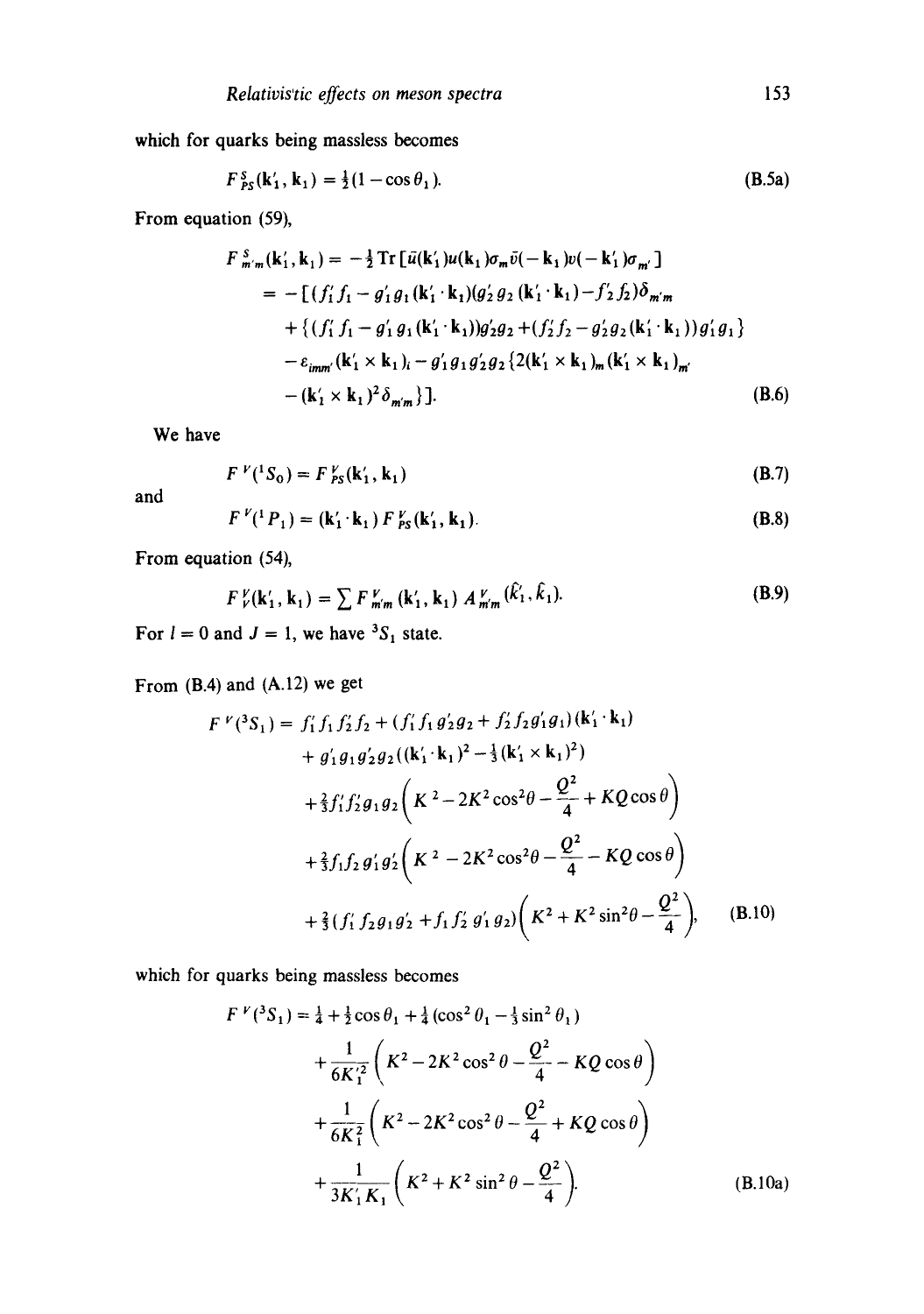which for quarks being massless becomes

$$
F_{PS}^{s}(\mathbf{k}'_1, \mathbf{k}_1) = \frac{1}{2}(1 - \cos \theta_1). \tag{B.5a}
$$

From equation (59),

$$
F_{m'm}^{S}(\mathbf{k}'_{1}, \mathbf{k}_{1}) = -\frac{1}{2} \text{Tr} \left[ \bar{u}(\mathbf{k}'_{1}) u(\mathbf{k}_{1}) \sigma_{m} \bar{v}(-\mathbf{k}_{1}) v(-\mathbf{k}'_{1}) \sigma_{m'} \right]
$$
  
\n
$$
= -\left[ (f'_{1} f_{1} - g'_{1} g_{1}(\mathbf{k}'_{1} \cdot \mathbf{k}_{1}) (g'_{2} g_{2}(\mathbf{k}'_{1} \cdot \mathbf{k}_{1}) - f'_{2} f_{2}) \delta_{m'm} + \left\{ (f'_{1} f_{1} - g'_{1} g_{1}(\mathbf{k}'_{1} \cdot \mathbf{k}_{1})) g'_{2} g_{2} + (f'_{2} f_{2} - g'_{2} g_{2}(\mathbf{k}'_{1} \cdot \mathbf{k}_{1})) g'_{1} g_{1} \right\}
$$
  
\n
$$
- \varepsilon_{imm'}(\mathbf{k}'_{1} \times \mathbf{k}_{1})_{i} - g'_{1} g_{1} g'_{2} g_{2} \left\{ 2(\mathbf{k}'_{1} \times \mathbf{k}_{1})_{m} (\mathbf{k}'_{1} \times \mathbf{k}_{1})_{m'} - (\mathbf{k}'_{1} \times \mathbf{k}_{1})^{2} \delta_{m'm} \right\} \right].
$$
\n(B.6)

We have

$$
F^{\nu}(^1S_0) = F^{\nu}_{PS}(\mathbf{k}'_1, \mathbf{k}_1) \tag{B.7}
$$

and

$$
F^{\nu}({}^{1}P_{1}) = (\mathbf{k}'_{1} \cdot \mathbf{k}_{1}) F^{\nu}_{PS}(\mathbf{k}'_{1}, \mathbf{k}_{1}). \tag{B.8}
$$

From equation (54),

$$
F_{\nu}^{\nu}(\mathbf{k}'_1, \mathbf{k}_1) = \sum F_{m'm}^{\nu}(\mathbf{k}'_1, \mathbf{k}_1) A_{m'm}^{\nu}(\mathbf{k}'_1, \mathbf{k}_1).
$$
 (B.9)

For  $l = 0$  and  $J = 1$ , we have <sup>3</sup>S<sub>1</sub> state.

From (B.4) and (A.12) we get

$$
F^{\nu}(^{3}S_{1}) = f'_{1}f_{1}f'_{2}f_{2} + (f'_{1}f_{1}g'_{2}g_{2} + f'_{2}f_{2}g'_{1}g_{1})(\mathbf{k}'_{1} \cdot \mathbf{k}_{1})
$$
  
+  $g'_{1}g_{1}g'_{2}g_{2}((\mathbf{k}'_{1} \cdot \mathbf{k}_{1})^{2} - \frac{1}{3}(\mathbf{k}'_{1} \times \mathbf{k}_{1})^{2})$   
+  $\frac{2}{3}f'_{1}f'_{2}g_{1}g_{2}(\mathbf{K}^{2} - 2\mathbf{K}^{2}\cos^{2}\theta - \frac{Q^{2}}{4} + KQ\cos\theta)$   
+  $\frac{2}{3}f_{1}f_{2}g'_{1}g'_{2}(\mathbf{K}^{2} - 2\mathbf{K}^{2}\cos^{2}\theta - \frac{Q^{2}}{4} - KQ\cos\theta)$   
+  $\frac{2}{3}(f'_{1}f_{2}g_{1}g'_{2} + f_{1}f'_{2}g'_{1}g_{2})(\mathbf{K}^{2} + \mathbf{K}^{2}\sin^{2}\theta - \frac{Q^{2}}{4}),$  (B.10)

which for quarks being massless becomes

$$
F^V({}^3S_1) = \frac{1}{4} + \frac{1}{2}\cos\theta_1 + \frac{1}{4}\left(\cos^2\theta_1 - \frac{1}{3}\sin^2\theta_1\right) + \frac{1}{6K_1^2}\left(K^2 - 2K^2\cos^2\theta - \frac{Q^2}{4} - KQ\cos\theta\right) + \frac{1}{6K_1^2}\left(K^2 - 2K^2\cos^2\theta - \frac{Q^2}{4} + KQ\cos\theta\right) + \frac{1}{3K_1'K_1}\left(K^2 + K^2\sin^2\theta - \frac{Q^2}{4}\right).
$$
 (B.10a)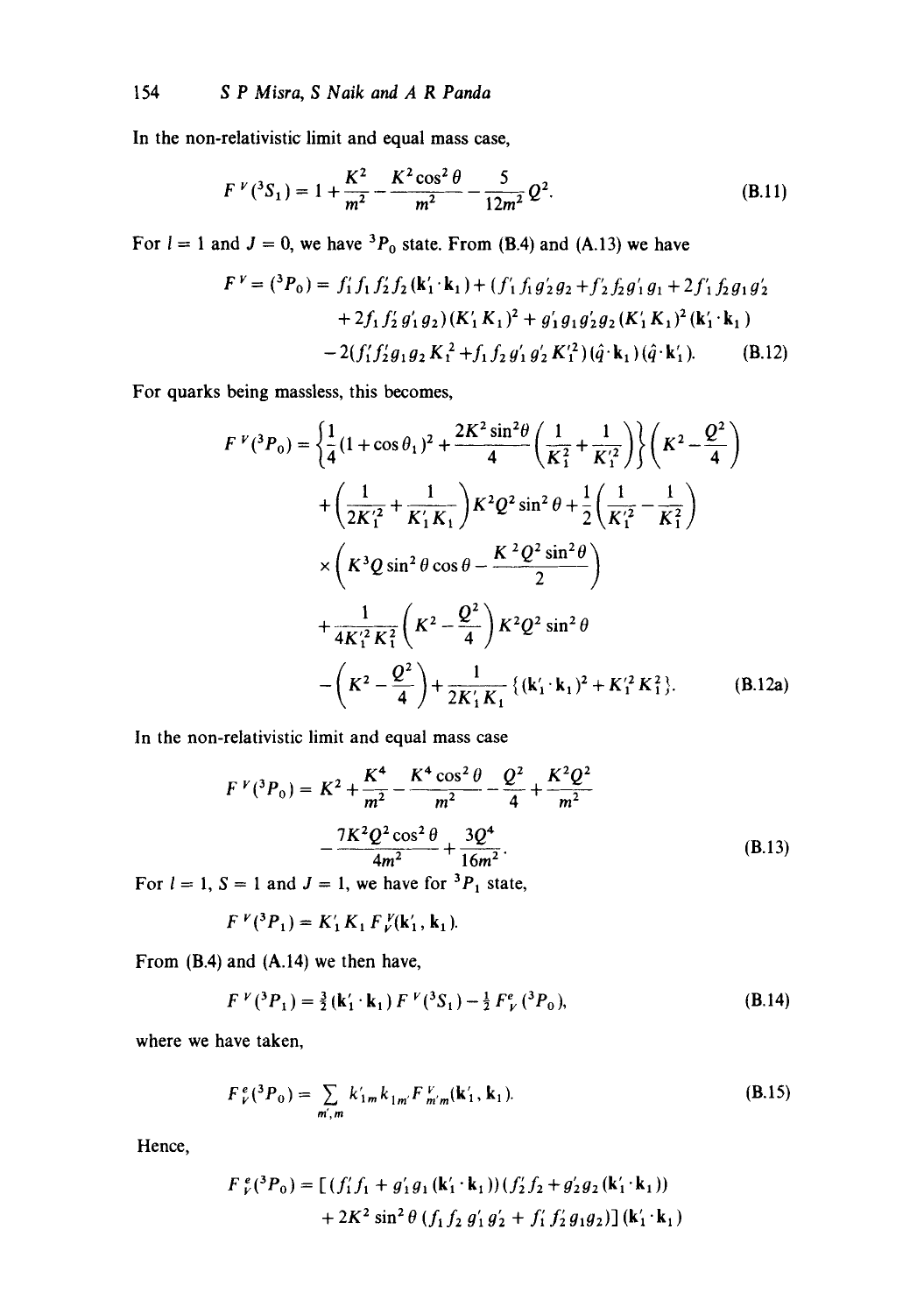In the non-relativistic limit and equal mass case,

$$
F^{\nu}({}^{3}S_{1}) = 1 + \frac{K^{2}}{m^{2}} - \frac{K^{2}\cos^{2}\theta}{m^{2}} - \frac{5}{12m^{2}}Q^{2}.
$$
 (B.11)

For  $l = 1$  and  $J = 0$ , we have <sup>3</sup> $P_0$  state. From (B.4) and (A.13) we have

$$
F^{V} = ({}^{3}P_{0}) = f'_{1}f_{1}f'_{2}f_{2}(\mathbf{k}'_{1} \cdot \mathbf{k}_{1}) + (f'_{1}f_{1}g'_{2}g_{2} + f'_{2}f_{2}g'_{1}g_{1} + 2f'_{1}f_{2}g_{1}g'_{2}
$$
  
+2f'\_{1}f'\_{2}g'\_{1}g\_{2})(K'\_{1}K\_{1})^{2} + g'\_{1}g\_{1}g'\_{2}g\_{2}(K'\_{1}K\_{1})^{2}(k'\_{1} \cdot \mathbf{k}\_{1})  
-2(f'\_{1}f'\_{2}g\_{1}g\_{2}K\_{1}^{2} + f\_{1}f\_{2}g'\_{1}g'\_{2}K\_{1}^{2})(\hat{q} \cdot \mathbf{k}\_{1})(\hat{q} \cdot \mathbf{k}'\_{1}). \t\t(B.12)

**For quarks being massless, this becomes,** 

$$
F^V(^3P_0) = \left\{ \frac{1}{4} (1 + \cos \theta_1)^2 + \frac{2K^2 \sin^2 \theta}{4} \left( \frac{1}{K_1^2} + \frac{1}{K_1'} \right) \right\} \left( K^2 - \frac{Q^2}{4} \right)
$$
  
+  $\left( \frac{1}{2K_1'^2} + \frac{1}{K_1' K_1} \right) K^2 Q^2 \sin^2 \theta + \frac{1}{2} \left( \frac{1}{K_1'^2} - \frac{1}{K_1^2} \right)$   
×  $\left( K^3 Q \sin^2 \theta \cos \theta - \frac{K^2 Q^2 \sin^2 \theta}{2} \right)$   
+  $\frac{1}{4K_1'^2 K_1^2} \left( K^2 - \frac{Q^2}{4} \right) K^2 Q^2 \sin^2 \theta$   
-  $\left( K^2 - \frac{Q^2}{4} \right) + \frac{1}{2K_1' K_1} \left\{ (k_1' \cdot k_1)^2 + K_1'^2 K_1^2 \right\}. \tag{B.12a}$ 

In the non-relativistic limit and equal mass case

$$
F^V(^3P_0) = K^2 + \frac{K^4}{m^2} - \frac{K^4 \cos^2 \theta}{m^2} - \frac{Q^2}{4} + \frac{K^2 Q^2}{m^2}
$$

$$
- \frac{7K^2 Q^2 \cos^2 \theta}{4m^2} + \frac{3Q^4}{16m^2}.
$$
(B.13)

For  $l = 1$ ,  $S = 1$  and  $J = 1$ , we have for  ${}^{3}P_1$  state,

$$
F^{\nu}({}^3P_1) = K_1' K_1 F^{\nu}({\bf k}'_1, {\bf k}_1).
$$

From (B.4) and (A.14) we then have,

$$
F^{\nu}({}^{3}P_{1}) = \frac{3}{2}(\mathbf{k}'_{1} \cdot \mathbf{k}_{1}) F^{\nu}({}^{3}S_{1}) - \frac{1}{2} F^{\rho}_{\nu}({}^{3}P_{0}), \qquad (B.14)
$$

where we have taken,

$$
F_{\nu}^{e}({}^{3}P_{0}) = \sum_{m',m} k'_{1m} k_{1m'} F_{m'm}^{\nu}(\mathbf{k}'_{1}, \mathbf{k}_{1}).
$$
 (B.15)

Hence,

$$
F \, \,^e_{\nu}({}^3P_0) = \left[ \left( f'_1 f_1 + g'_1 g_1 \left( \mathbf{k}'_1 \cdot \mathbf{k}_1 \right) \right) \left( f'_2 f_2 + g'_2 g_2 \left( \mathbf{k}'_1 \cdot \mathbf{k}_1 \right) \right) \right. \\ \left. + 2K^2 \sin^2 \theta \left( f_1 f_2 g'_1 g'_2 + f'_1 f'_2 g_1 g_2 \right) \right] \left( \mathbf{k}'_1 \cdot \mathbf{k}_1 \right)
$$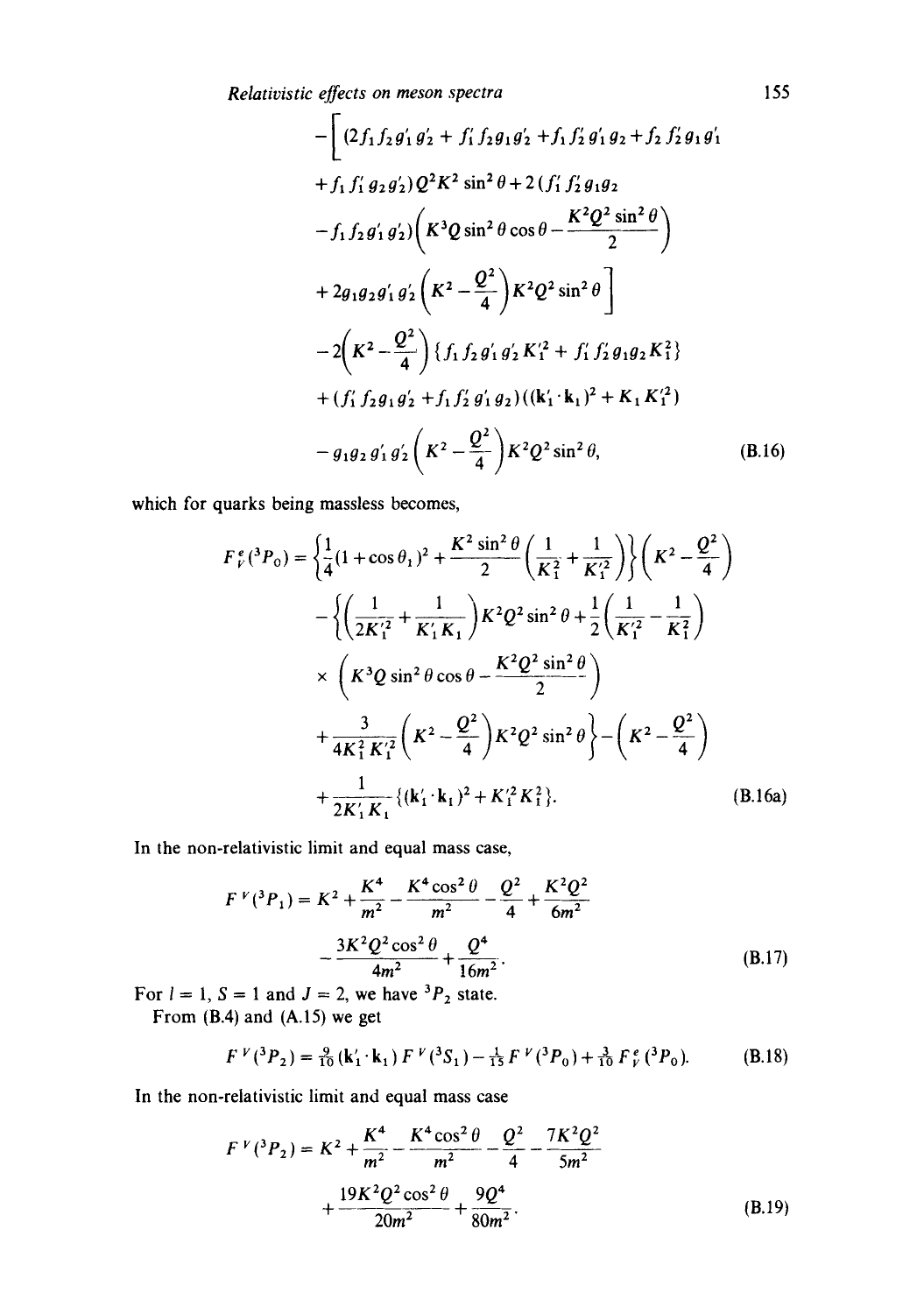*Relativistic effects on meson spectra* 

$$
-\left[ (2f_1f_2g'_1g'_2 + f'_1f_2g_1g'_2 + f_1f'_2g'_1g_2 + f_2f'_2g_1g'_1 + f_1f'_1g_2g'_2)Q^2K^2\sin^2\theta + 2(f'_1f'_2g_1g_2 - f_1f_2g'_1g'_2)\left(K^3Q\sin^2\theta\cos\theta - \frac{K^2Q^2\sin^2\theta}{2}\right) + 2g_1g_2g'_1g'_2\left(K^2 - \frac{Q^2}{4}\right)K^2Q^2\sin^2\theta \right] - 2\left(K^2 - \frac{Q^2}{4}\right)\left\{f_1f_2g'_1g'_2K_1'^2 + f'_1f'_2g_1g_2K_1^2\right\} + (f'_1f_2g_1g'_2 + f_1f'_2g'_1g_2)((k'_1 \cdot k_1)^2 + K_1K_1'^2) - g_1g_2g'_1g'_2\left(K^2 - \frac{Q^2}{4}\right)K^2Q^2\sin^2\theta,
$$
 (B.16)

which for quarks being massless becomes,

$$
F_{V}^{e}(^{3}P_{0}) = \left\{\frac{1}{4}(1+\cos\theta_{1})^{2} + \frac{K^{2}\sin^{2}\theta}{2}\left(\frac{1}{K_{1}^{2}} + \frac{1}{K_{1}^{2}}\right)\right\}\left(K^{2} - \frac{Q^{2}}{4}\right)
$$

$$
- \left\{\left(\frac{1}{2K_{1}^{2}} + \frac{1}{K_{1}^{2}K_{1}}\right)K^{2}Q^{2}\sin^{2}\theta + \frac{1}{2}\left(\frac{1}{K_{1}^{2}} - \frac{1}{K_{1}^{2}}\right)
$$

$$
\times \left(K^{3}Q\sin^{2}\theta\cos\theta - \frac{K^{2}Q^{2}\sin^{2}\theta}{2}\right)
$$

$$
+ \frac{3}{4K_{1}^{2}K_{1}^{2}}\left(K^{2} - \frac{Q^{2}}{4}\right)K^{2}Q^{2}\sin^{2}\theta\right\} - \left(K^{2} - \frac{Q^{2}}{4}\right)
$$

$$
+ \frac{1}{2K_{1}^{2}K_{1}}\{(k_{1}^{2} \cdot k_{1})^{2} + K_{1}^{2}K_{1}^{2}\}.
$$
 (B.16a)

In the non-relativistic limit and equal mass case,

$$
F^V(^{3}P_{1}) = K^{2} + \frac{K^{4}}{m^{2}} - \frac{K^{4} \cos^{2} \theta}{m^{2}} - \frac{Q^{2}}{4} + \frac{K^{2} Q^{2}}{6m^{2}}
$$

$$
- \frac{3K^{2} Q^{2} \cos^{2} \theta}{4m^{2}} + \frac{Q^{4}}{16m^{2}}.
$$
(B.17)

For  $l = 1$ ,  $S = 1$  and  $J = 2$ , we have  ${}^{3}P_{2}$  state.

From  $(B.4)$  and  $(A.15)$  we get

$$
F^{\nu}({}^{3}P_{2}) = \frac{9}{10}(\mathbf{k}'_{1} \cdot \mathbf{k}_{1}) F^{\nu}({}^{3}S_{1}) - \frac{1}{15} F^{\nu}({}^{3}P_{0}) + \frac{3}{10} F^{\,e}_{\nu}({}^{3}P_{0}). \tag{B.18}
$$

In the non-relativistic limit and equal mass case

$$
F^{V}({}^{3}P_{2}) = K^{2} + \frac{K^{4}}{m^{2}} - \frac{K^{4}\cos^{2}\theta}{m^{2}} - \frac{Q^{2}}{4} - \frac{7K^{2}Q^{2}}{5m^{2}} + \frac{19K^{2}Q^{2}\cos^{2}\theta}{20m^{2}} + \frac{9Q^{4}}{80m^{2}}.
$$
 (B.19)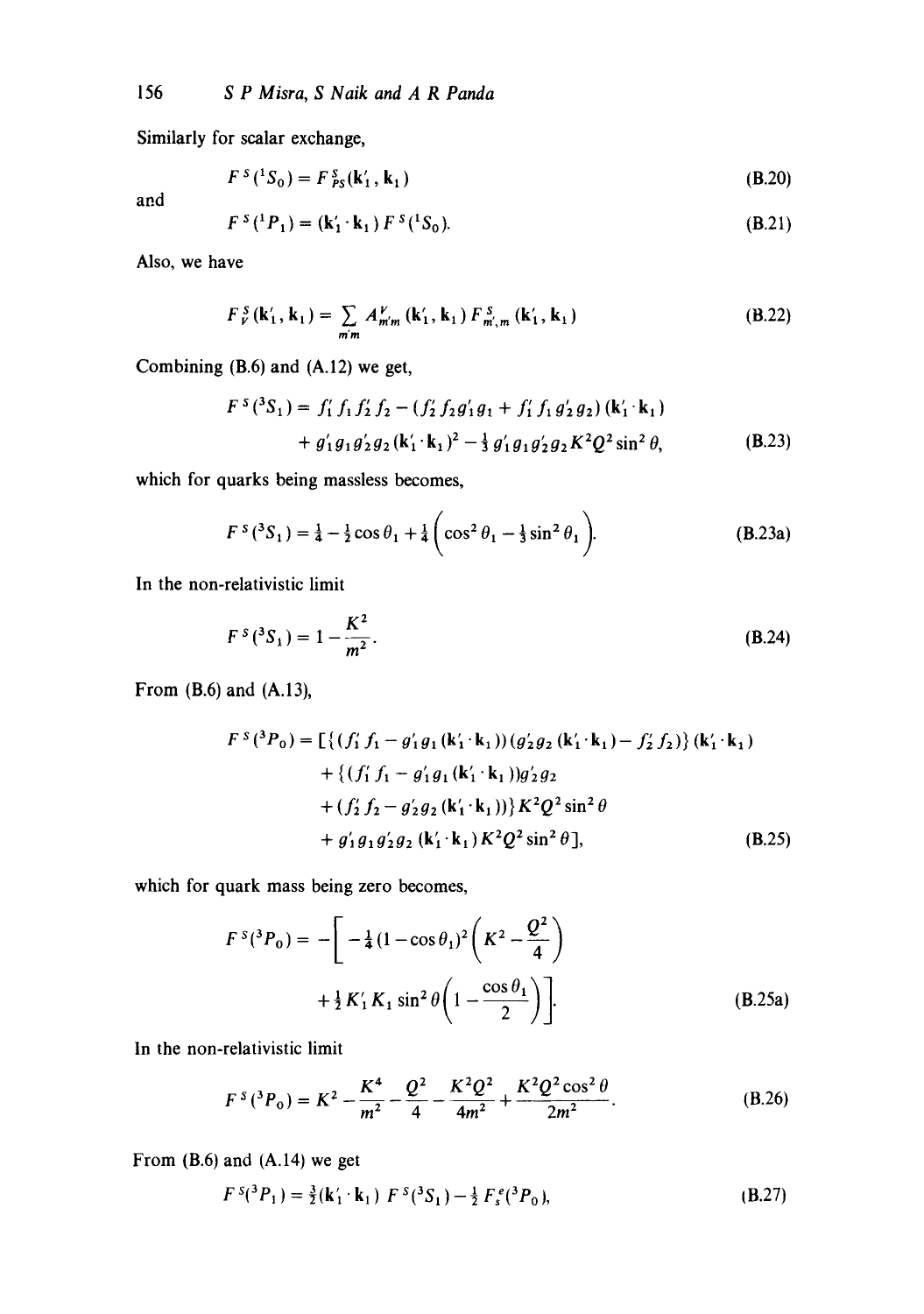Similarly for scalar exchange,

$$
FS(1S0) = FSPS(\mathbf{k}'_1, \mathbf{k}_1)
$$
 (B.20)

and

$$
F^{s}({}^{1}P_{1}) = (\mathbf{k}'_{1} \cdot \mathbf{k}_{1}) F^{s}({}^{1}S_{0}).
$$
\n(B.21)

Also, we have

$$
F_{\nu}^{S}(\mathbf{k}'_{1}, \mathbf{k}_{1}) = \sum_{m'm} A_{m'm}^{\nu}(\mathbf{k}'_{1}, \mathbf{k}_{1}) F_{m',m}^{S}(\mathbf{k}'_{1}, \mathbf{k}_{1})
$$
 (B.22)

Combining (B.6) and (A.12) we get,

$$
F^{s}(^{3}S_{1}) = f'_{1} f_{1} f'_{2} f_{2} - (f'_{2} f_{2} g'_{1} g_{1} + f'_{1} f_{1} g'_{2} g_{2}) (\mathbf{k}'_{1} \cdot \mathbf{k}_{1})
$$
  
+  $g'_{1} g_{1} g'_{2} g_{2} (\mathbf{k}'_{1} \cdot \mathbf{k}_{1})^{2} - \frac{1}{3} g'_{1} g_{1} g'_{2} g_{2} K^{2} Q^{2} \sin^{2} \theta,$  (B.23)

which for quarks being massless becomes,

$$
F^{s}({}^{3}S_{1}) = \frac{1}{4} - \frac{1}{2}\cos\theta_{1} + \frac{1}{4}\left(\cos^{2}\theta_{1} - \frac{1}{3}\sin^{2}\theta_{1}\right).
$$
 (B.23a)

In the non-relativistic limit

$$
F^{s}(^{3}S_{1}) = 1 - \frac{K^{2}}{m^{2}}.
$$
 (B.24)

From (B.6) and (A.13),

$$
F^{s}({}^{3}P_{0}) = \left[\left\{(f'_{1} f_{1} - g'_{1} g_{1}(\mathbf{k}'_{1} \cdot \mathbf{k}_{1})) (g'_{2} g_{2}(\mathbf{k}'_{1} \cdot \mathbf{k}_{1}) - f'_{2} f_{2})\right\} (\mathbf{k}'_{1} \cdot \mathbf{k}_{1}) + \left\{(f'_{1} f_{1} - g'_{1} g_{1}(\mathbf{k}'_{1} \cdot \mathbf{k}_{1})) g'_{2} g_{2} + (f'_{2} f_{2} - g'_{2} g_{2}(\mathbf{k}'_{1} \cdot \mathbf{k}_{1}))\right\} K^{2} Q^{2} \sin^{2} \theta + g'_{1} g_{1} g'_{2} g_{2}(\mathbf{k}'_{1} \cdot \mathbf{k}_{1}) K^{2} Q^{2} \sin^{2} \theta],
$$
\n(B.25)

which for quark mass being zero becomes,

$$
F^{s}({}^{3}P_{0}) = -\left[ -\frac{1}{4}(1-\cos\theta_{1})^{2}\left(K^{2} - \frac{Q^{2}}{4}\right) + \frac{1}{2}K'_{1}K_{1}\sin^{2}\theta\left(1 - \frac{\cos\theta_{1}}{2}\right) \right].
$$
 (B.25a)

In the non-relativistic limit

$$
F^{s}({}^{3}P_{0}) = K^{2} - \frac{K^{4}}{m^{2}} - \frac{Q^{2}}{4} - \frac{K^{2}Q^{2}}{4m^{2}} + \frac{K^{2}Q^{2}\cos^{2}\theta}{2m^{2}}.
$$
 (B.26)

From (B.6) and (A.14) we get

$$
F^{s}({}^{3}P_{1}) = \frac{3}{2}(\mathbf{k}'_{1} \cdot \mathbf{k}_{1}) F^{s}({}^{3}S_{1}) - \frac{1}{2} F_{s}^{e}({}^{3}P_{0}), \qquad (B.27)
$$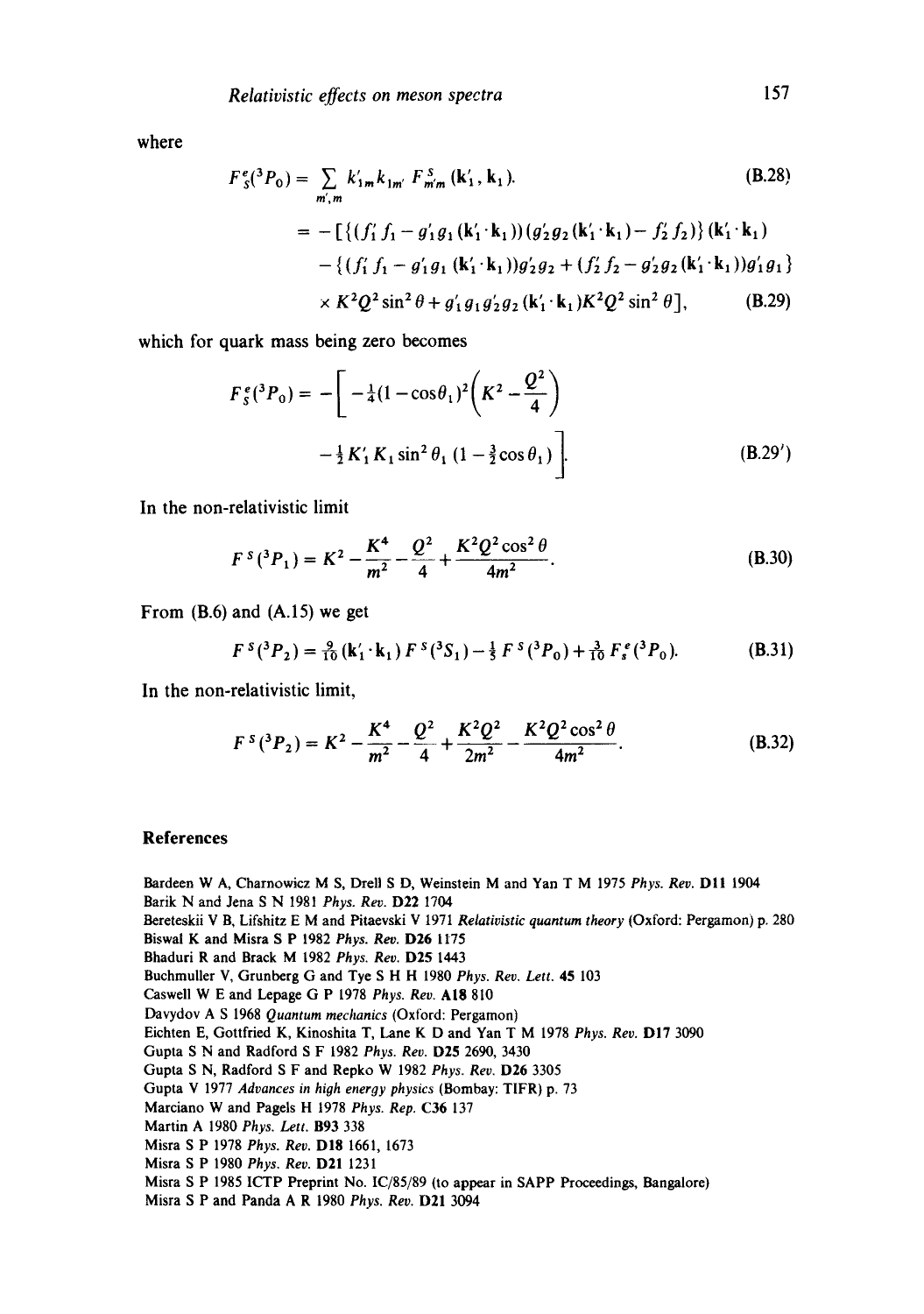where

$$
F_{s}^{e}(^{3}P_{0}) = \sum_{m',m} k'_{1m} k_{1m'} F_{m'm}^{s}(k'_{1}, k_{1}).
$$
\n(B.28)  
\n
$$
= -\left[\left\{(f'_{1} f_{1} - g'_{1} g_{1}(k'_{1} \cdot k_{1})) (g'_{2} g_{2}(k'_{1} \cdot k_{1}) - f'_{2} f_{2})\right\}(k'_{1} \cdot k_{1}) - \left\{(f'_{1} f_{1} - g'_{1} g_{1}(k'_{1} \cdot k_{1})) g'_{2} g_{2} + (f'_{2} f_{2} - g'_{2} g_{2}(k'_{1} \cdot k_{1})) g'_{1} g_{1}\right\} \times K^{2} Q^{2} \sin^{2} \theta + g'_{1} g_{1} g'_{2} g_{2}(k'_{1} \cdot k_{1}) K^{2} Q^{2} \sin^{2} \theta],
$$
\n(B.29)

which for quark mass being zero becomes

$$
F_s^e(^3P_0) = -\left[ \ -\frac{1}{4}(1-\cos\theta_1)^2 \left(K^2 - \frac{Q^2}{4}\right) \ -\frac{1}{2}K_1'K_1\sin^2\theta_1\left(1 - \frac{3}{2}\cos\theta_1\right) \right].
$$
 (B.29')

**In the non-relativistic limit** 

$$
F^{s}({}^{3}P_{1}) = K^{2} - \frac{K^{4}}{m^{2}} - \frac{Q^{2}}{4} + \frac{K^{2}Q^{2}\cos^{2}\theta}{4m^{2}}.
$$
 (B.30)

From (B.6) and **(A.15)** we get

$$
F^{s}(^{3}P_{2}) = \frac{9}{10} (\mathbf{k}'_{1} \cdot \mathbf{k}_{1}) F^{s}(^{3}S_{1}) - \frac{1}{5} F^{s}(^{3}P_{0}) + \frac{3}{10} F_{s}^{e}(^{3}P_{0}).
$$
 (B.31)

**In the non-relativistic limit,** 

$$
F^{s}({}^{3}P_{2}) = K^{2} - \frac{K^{4}}{m^{2}} - \frac{Q^{2}}{4} + \frac{K^{2}Q^{2}}{2m^{2}} - \frac{K^{2}Q^{2}\cos^{2}\theta}{4m^{2}}.
$$
 (B.32)

## **References**

Bardeen W A, Charnowicz M S, Drell S D, Weinstein M and Yan T M 1975 *Phys. Rev.* DII 1904 Barik N and Jena S N 1981 *Phys. Rev.* D22 1704

Bereteskii V B, Lifshitz E M and Pitaevski V 1971 *Relativistic quantum theory* (Oxford: Pergamon) p. 280

Biswai K and Misra S P 1982 *Phys. Rev.* D26 1175

Bhaduri R and Brack M 1982 *Phys. Rev.* D25 1443

Buchmuller V, Grunberg G and Tye S H H 1980 *Phys. Rev. Lett.* 45 103

Caswell W E and Lepage G P 1978 *Phys. Rev.* At8 810

Davydov A S 1968 *Quantum mechanics* (Oxford: Pergamon)

Eichten E, Gottfried K, Kinoshita T, Lane K D and Yan T M 1978 *Phys. Rev.* DI7 3090

Gupta S N and Radford S F 1982 *Phys. Rev.* D25 2690, 3430

Gupta S N, Radford S F and Repko W 1982 *Phys. Rev.* D26 3305

Gupta V 1977 *Advances in high energy physics* (Bombay: TIFR) p. 73

Marciano W and Pagels H 1978 *Phys. Rep.* C36 137

Martin A 1980 *Phys. Lett.* B93 338

Misra S P 1978 *Phys. Rev.* D18 1661, 1673

Misra S P 1980 *Phys. Rev.* D21 1231

Misra S P 1985 ICTP Preprint No. IC/85/89 (to appear in SAPP Proceedings, Bangalore)

Misra S P and Panda A R 1980 *Phys. Rev.* D21 3094